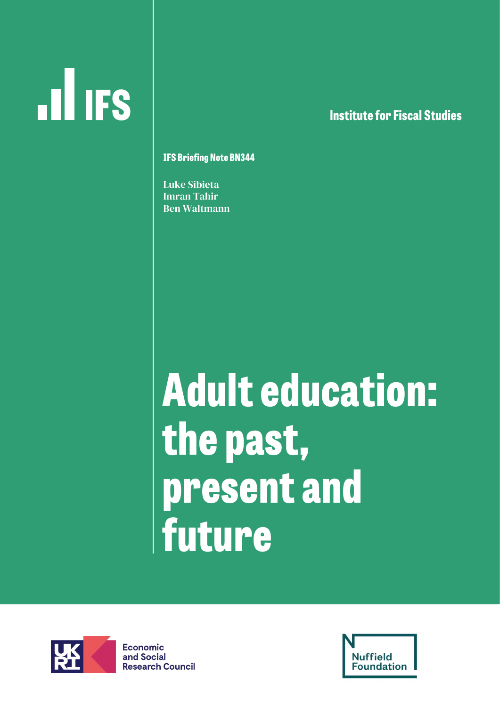# **ILL IFS**

**lnstitute for Fiscal Studies**

**IFS Briefing Note BN344**

Luke Sibieta Imran Tahir Ben Waltmann

## **Adult education: the past, present and future**



**Economic** and Social **Research Council** 

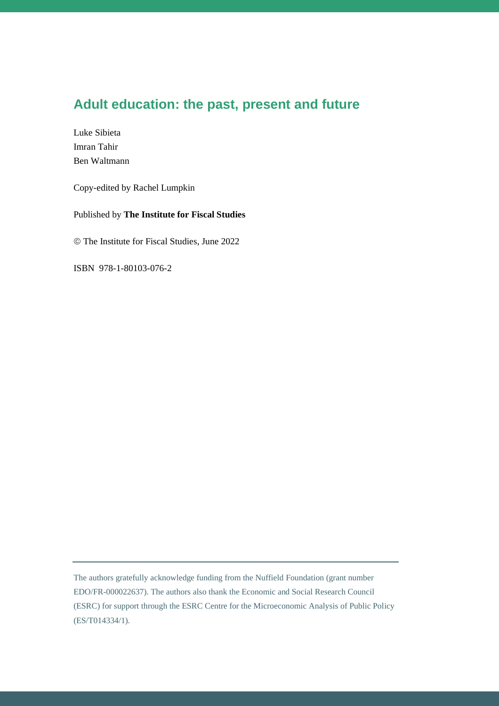#### **Adult education: the past, present and future**

Luke Sibieta Imran Tahir Ben Waltmann

Copy-edited by Rachel Lumpkin

Published by **The Institute for Fiscal Studies**

© The Institute for Fiscal Studies, June 2022

ISBN 978-1-80103-076-2

The authors gratefully acknowledge funding from the Nuffield Foundation (grant number EDO/FR-000022637). The authors also thank the Economic and Social Research Council (ESRC) for support through the ESRC Centre for the Microeconomic Analysis of Public Policy (ES/T014334/1).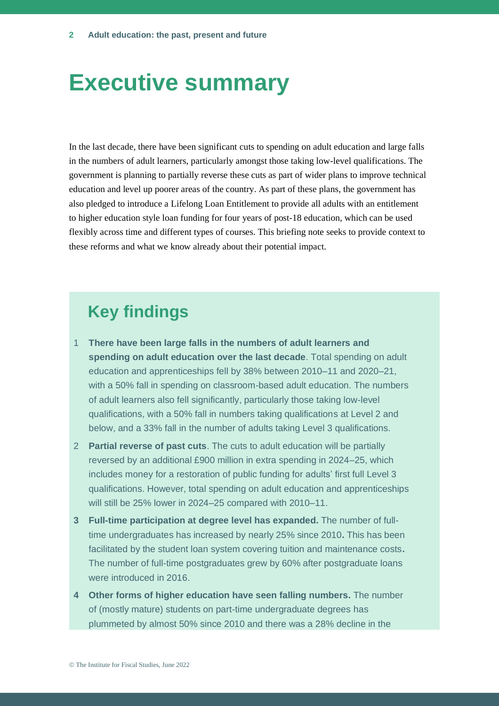## **Executive summary**

In the last decade, there have been significant cuts to spending on adult education and large falls in the numbers of adult learners, particularly amongst those taking low-level qualifications. The government is planning to partially reverse these cuts as part of wider plans to improve technical education and level up poorer areas of the country. As part of these plans, the government has also pledged to introduce a Lifelong Loan Entitlement to provide all adults with an entitlement to higher education style loan funding for four years of post-18 education, which can be used flexibly across time and different types of courses. This briefing note seeks to provide context to these reforms and what we know already about their potential impact.

## **Key findings**

- 1 **There have been large falls in the numbers of adult learners and spending on adult education over the last decade**. Total spending on adult education and apprenticeships fell by 38% between 2010–11 and 2020–21, with a 50% fall in spending on classroom-based adult education. The numbers of adult learners also fell significantly, particularly those taking low-level qualifications, with a 50% fall in numbers taking qualifications at Level 2 and below, and a 33% fall in the number of adults taking Level 3 qualifications.
- 2 **Partial reverse of past cuts**. The cuts to adult education will be partially reversed by an additional £900 million in extra spending in 2024–25, which includes money for a restoration of public funding for adults' first full Level 3 qualifications. However, total spending on adult education and apprenticeships will still be 25% lower in 2024–25 compared with 2010–11.
- **3 Full-time participation at degree level has expanded.** The number of fulltime undergraduates has increased by nearly 25% since 2010**.** This has been facilitated by the student loan system covering tuition and maintenance costs**.**  The number of full-time postgraduates grew by 60% after postgraduate loans were introduced in 2016.
- **4 Other forms of higher education have seen falling numbers.** The number of (mostly mature) students on part-time undergraduate degrees has plummeted by almost 50% since 2010 and there was a 28% decline in the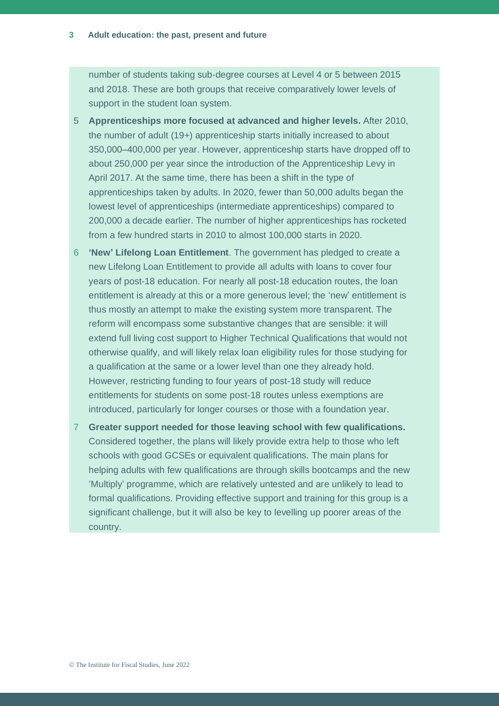number of students taking sub-degree courses at Level 4 or 5 between 2015 and 2018. These are both groups that receive comparatively lower levels of support in the student loan system.

- 5 **Apprenticeships more focused at advanced and higher levels.** After 2010, the number of adult (19+) apprenticeship starts initially increased to about 350,000–400,000 per year. However, apprenticeship starts have dropped off to about 250,000 per year since the introduction of the Apprenticeship Levy in April 2017. At the same time, there has been a shift in the type of apprenticeships taken by adults. In 2020, fewer than 50,000 adults began the lowest level of apprenticeships (intermediate apprenticeships) compared to 200,000 a decade earlier. The number of higher apprenticeships has rocketed from a few hundred starts in 2010 to almost 100,000 starts in 2020.
- 6 **'New' Lifelong Loan Entitlement**. The government has pledged to create a new Lifelong Loan Entitlement to provide all adults with loans to cover four years of post-18 education. For nearly all post-18 education routes, the loan entitlement is already at this or a more generous level; the 'new' entitlement is thus mostly an attempt to make the existing system more transparent. The reform will encompass some substantive changes that are sensible: it will extend full living cost support to Higher Technical Qualifications that would not otherwise qualify, and will likely relax loan eligibility rules for those studying for a qualification at the same or a lower level than one they already hold. However, restricting funding to four years of post-18 study will reduce entitlements for students on some post-18 routes unless exemptions are introduced, particularly for longer courses or those with a foundation year.
- 7 **Greater support needed for those leaving school with few qualifications.**  Considered together, the plans will likely provide extra help to those who left schools with good GCSEs or equivalent qualifications. The main plans for helping adults with few qualifications are through skills bootcamps and the new 'Multiply' programme, which are relatively untested and are unlikely to lead to formal qualifications. Providing effective support and training for this group is a significant challenge, but it will also be key to levelling up poorer areas of the country.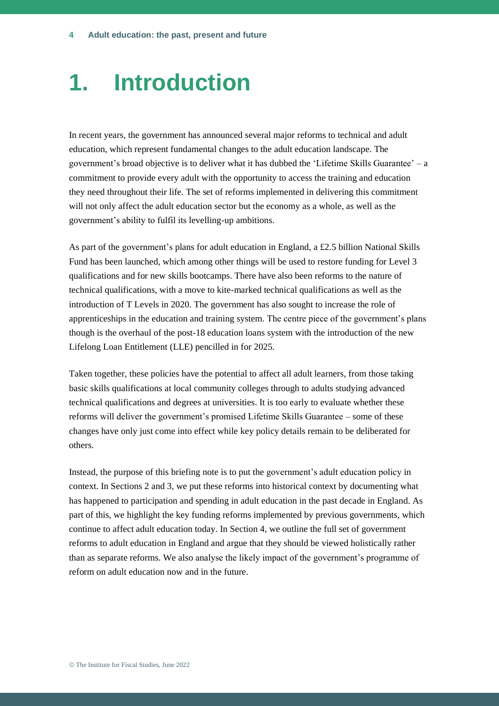## **1. Introduction**

In recent years, the government has announced several major reforms to technical and adult education, which represent fundamental changes to the adult education landscape. The government's broad objective is to deliver what it has dubbed the 'Lifetime Skills Guarantee' – a commitment to provide every adult with the opportunity to access the training and education they need throughout their life. The set of reforms implemented in delivering this commitment will not only affect the adult education sector but the economy as a whole, as well as the government's ability to fulfil its levelling-up ambitions.

As part of the government's plans for adult education in England, a £2.5 billion National Skills Fund has been launched, which among other things will be used to restore funding for Level 3 qualifications and for new skills bootcamps. There have also been reforms to the nature of technical qualifications, with a move to kite-marked technical qualifications as well as the introduction of T Levels in 2020. The government has also sought to increase the role of apprenticeships in the education and training system. The centre piece of the government's plans though is the overhaul of the post-18 education loans system with the introduction of the new Lifelong Loan Entitlement (LLE) pencilled in for 2025.

Taken together, these policies have the potential to affect all adult learners, from those taking basic skills qualifications at local community colleges through to adults studying advanced technical qualifications and degrees at universities. It is too early to evaluate whether these reforms will deliver the government's promised Lifetime Skills Guarantee – some of these changes have only just come into effect while key policy details remain to be deliberated for others.

Instead, the purpose of this briefing note is to put the government's adult education policy in context. In Sections 2 and 3, we put these reforms into historical context by documenting what has happened to participation and spending in adult education in the past decade in England. As part of this, we highlight the key funding reforms implemented by previous governments, which continue to affect adult education today. In Section 4, we outline the full set of government reforms to adult education in England and argue that they should be viewed holistically rather than as separate reforms. We also analyse the likely impact of the government's programme of reform on adult education now and in the future.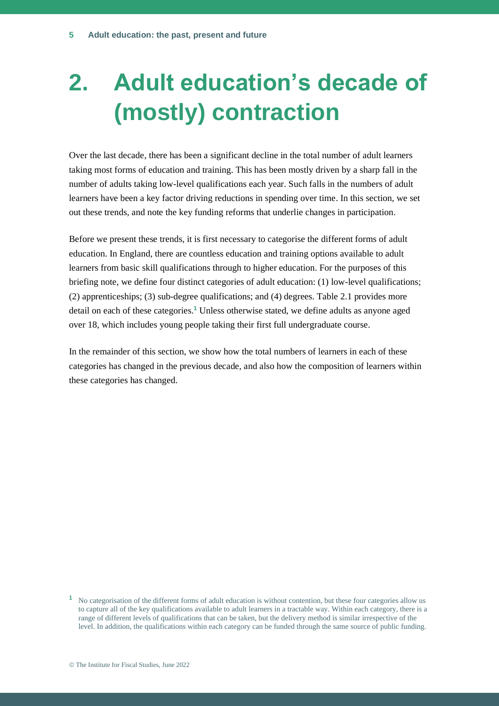## **2. Adult education's decade of (mostly) contraction**

Over the last decade, there has been a significant decline in the total number of adult learners taking most forms of education and training. This has been mostly driven by a sharp fall in the number of adults taking low-level qualifications each year. Such falls in the numbers of adult learners have been a key factor driving reductions in spending over time. In this section, we set out these trends, and note the key funding reforms that underlie changes in participation.

Before we present these trends, it is first necessary to categorise the different forms of adult education. In England, there are countless education and training options available to adult learners from basic skill qualifications through to higher education. For the purposes of this briefing note, we define four distinct categories of adult education: (1) low-level qualifications; (2) apprenticeships; (3) sub-degree qualifications; and (4) degrees. Table 2.1 provides more detail on each of these categories.**<sup>1</sup>** Unless otherwise stated, we define adults as anyone aged over 18, which includes young people taking their first full undergraduate course.

In the remainder of this section, we show how the total numbers of learners in each of these categories has changed in the previous decade, and also how the composition of learners within these categories has changed.

**<sup>1</sup>** No categorisation of the different forms of adult education is without contention, but these four categories allow us to capture all of the key qualifications available to adult learners in a tractable way. Within each category, there is a range of different levels of qualifications that can be taken, but the delivery method is similar irrespective of the level. In addition, the qualifications within each category can be funded through the same source of public funding.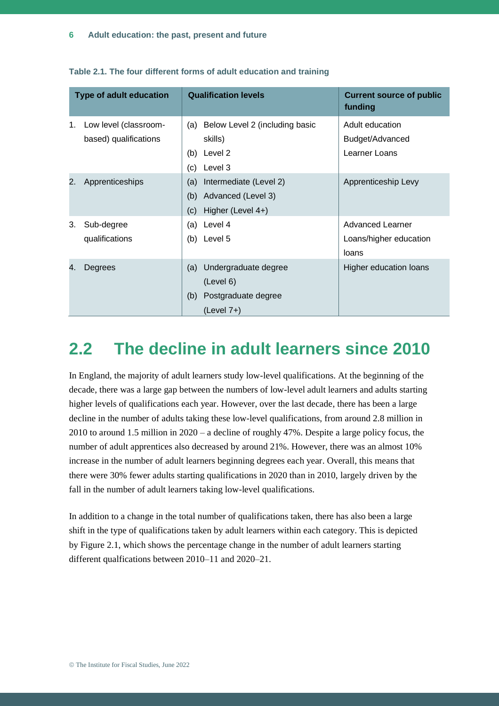|    | <b>Type of adult education</b> |     | <b>Qualification levels</b>    | <b>Current source of public</b><br>funding |
|----|--------------------------------|-----|--------------------------------|--------------------------------------------|
| 1. | Low level (classroom-          | (a) | Below Level 2 (including basic | Adult education                            |
|    | based) qualifications          |     | skills)                        | Budget/Advanced                            |
|    |                                | (b) | Level 2                        | Learner Loans                              |
|    |                                | (c) | Level 3                        |                                            |
| 2. | Apprenticeships                | (a) | Intermediate (Level 2)         | Apprenticeship Levy                        |
|    |                                | (b) | Advanced (Level 3)             |                                            |
|    |                                | (c) | Higher (Level 4+)              |                                            |
| 3. | Sub-degree                     | (a) | Level 4                        | <b>Advanced Learner</b>                    |
|    | qualifications                 | (b) | Level 5                        | Loans/higher education                     |
|    |                                |     |                                | loans                                      |
| 4. | Degrees                        | (a) | Undergraduate degree           | Higher education loans                     |
|    |                                |     | (Level 6)                      |                                            |
|    |                                | (b) | Postgraduate degree            |                                            |
|    |                                |     | $(Level 7+)$                   |                                            |

**Table 2.1. The four different forms of adult education and training**

## **2.2 The decline in adult learners since 2010**

In England, the majority of adult learners study low-level qualifications. At the beginning of the decade, there was a large gap between the numbers of low-level adult learners and adults starting higher levels of qualifications each year. However, over the last decade, there has been a large decline in the number of adults taking these low-level qualifications, from around 2.8 million in 2010 to around 1.5 million in 2020 – a decline of roughly 47%. Despite a large policy focus, the number of adult apprentices also decreased by around 21%. However, there was an almost 10% increase in the number of adult learners beginning degrees each year. Overall, this means that there were 30% fewer adults starting qualifications in 2020 than in 2010, largely driven by the fall in the number of adult learners taking low-level qualifications.

In addition to a change in the total number of qualifications taken, there has also been a large shift in the type of qualifications taken by adult learners within each category. This is depicted by Figure 2.1, which shows the percentage change in the number of adult learners starting different qualfications between 2010–11 and 2020–21.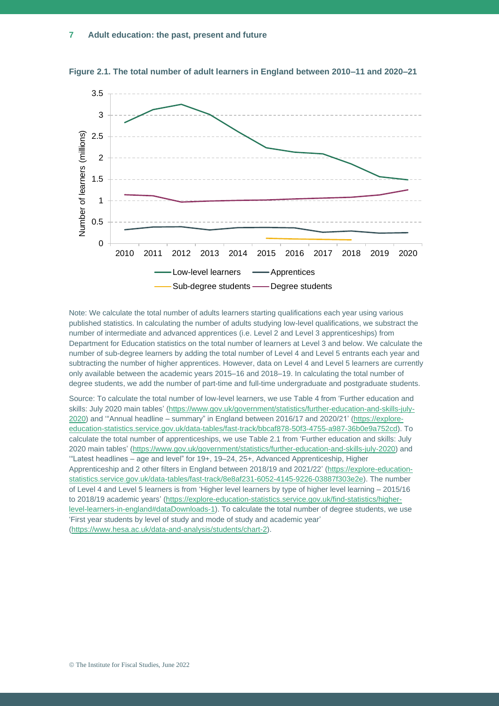

**Figure 2.1. The total number of adult learners in England between 2010–11 and 2020–21**

Note: We calculate the total number of adults learners starting qualifications each year using various published statistics. In calculating the number of adults studying low-level qualifications, we substract the number of intermediate and advanced apprentices (i.e. Level 2 and Level 3 apprenticeships) from Department for Education statistics on the total number of learners at Level 3 and below. We calculate the number of sub-degree learners by adding the total number of Level 4 and Level 5 entrants each year and subtracting the number of higher apprentices. However, data on Level 4 and Level 5 learners are currently only available between the academic years 2015–16 and 2018–19. In calculating the total number of degree students, we add the number of part-time and full-time undergraduate and postgraduate students.

Source: To calculate the total number of low-level learners, we use Table 4 from 'Further education and skills: July 2020 main tables' [\(https://www.gov.uk/government/statistics/further-education-and-skills-july-](https://www.gov.uk/government/statistics/further-education-and-skills-july-2020)[2020\)](https://www.gov.uk/government/statistics/further-education-and-skills-july-2020) and '"Annual headline – summary" in England between 2016/17 and 2020/21' [\(https://explore](https://explore-education-statistics.service.gov.uk/data-tables/fast-track/bbcaf878-50f3-4755-a987-36b0e9a752cd)[education-statistics.service.gov.uk/data-tables/fast-track/bbcaf878-50f3-4755-a987-36b0e9a752cd\)](https://explore-education-statistics.service.gov.uk/data-tables/fast-track/bbcaf878-50f3-4755-a987-36b0e9a752cd). To calculate the total number of apprenticeships, we use Table 2.1 from 'Further education and skills: July 2020 main tables' [\(https://www.gov.uk/government/statistics/further-education-and-skills-july-2020\)](https://www.gov.uk/government/statistics/further-education-and-skills-july-2020) and '"Latest headlines – age and level" for 19+, 19–24, 25+, Advanced Apprenticeship, Higher Apprenticeship and 2 other filters in England between 2018/19 and 2021/22' [\(https://explore-education](https://explore-education-statistics.service.gov.uk/data-tables/fast-track/8e8af231-6052-4145-9226-03887f303e2e)[statistics.service.gov.uk/data-tables/fast-track/8e8af231-6052-4145-9226-03887f303e2e\)](https://explore-education-statistics.service.gov.uk/data-tables/fast-track/8e8af231-6052-4145-9226-03887f303e2e). The number of Level 4 and Level 5 learners is from 'Higher level learners by type of higher level learning – 2015/16 to 2018/19 academic years' [\(https://explore-education-statistics.service.gov.uk/find-statistics/higher](https://explore-education-statistics.service.gov.uk/find-statistics/higher-level-learners-in-england#dataDownloads-1)[level-learners-in-england#dataDownloads-1\)](https://explore-education-statistics.service.gov.uk/find-statistics/higher-level-learners-in-england#dataDownloads-1). To calculate the total number of degree students, we use 'First year students by level of study and mode of study and academic year' [\(https://www.hesa.ac.uk/data-and-analysis/students/chart-2\)](https://www.hesa.ac.uk/data-and-analysis/students/chart-2).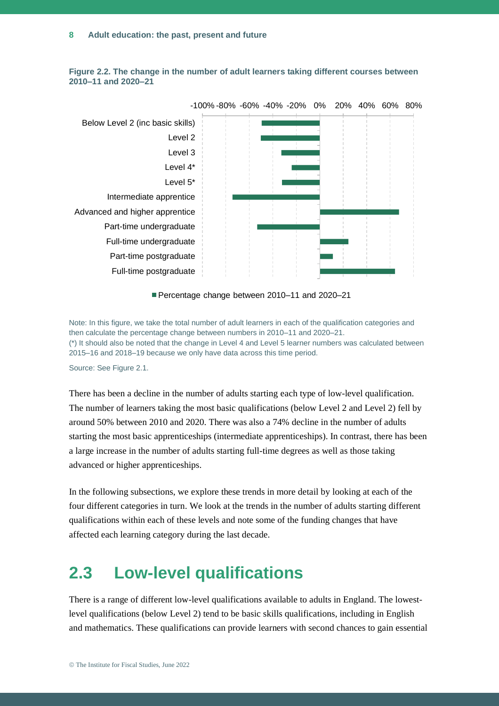

**Figure 2.2. The change in the number of adult learners taking different courses between 2010–11 and 2020–21**

Percentage change between 2010-11 and 2020-21

Note: In this figure, we take the total number of adult learners in each of the qualification categories and then calculate the percentage change between numbers in 2010–11 and 2020–21. (\*) It should also be noted that the change in Level 4 and Level 5 learner numbers was calculated between 2015–16 and 2018–19 because we only have data across this time period.

Source: See Figure 2.1.

There has been a decline in the number of adults starting each type of low-level qualification. The number of learners taking the most basic qualifications (below Level 2 and Level 2) fell by around 50% between 2010 and 2020. There was also a 74% decline in the number of adults starting the most basic apprenticeships (intermediate apprenticeships). In contrast, there has been a large increase in the number of adults starting full-time degrees as well as those taking advanced or higher apprenticeships.

In the following subsections, we explore these trends in more detail by looking at each of the four different categories in turn. We look at the trends in the number of adults starting different qualifications within each of these levels and note some of the funding changes that have affected each learning category during the last decade.

## **2.3 Low-level qualifications**

There is a range of different low-level qualifications available to adults in England. The lowestlevel qualifications (below Level 2) tend to be basic skills qualifications, including in English and mathematics. These qualifications can provide learners with second chances to gain essential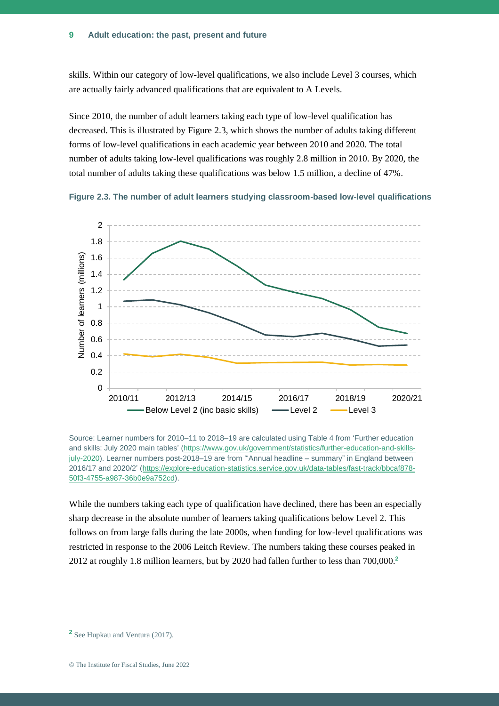skills. Within our category of low-level qualifications, we also include Level 3 courses, which are actually fairly advanced qualifications that are equivalent to A Levels.

Since 2010, the number of adult learners taking each type of low-level qualification has decreased. This is illustrated by Figure 2.3, which shows the number of adults taking different forms of low-level qualifications in each academic year between 2010 and 2020. The total number of adults taking low-level qualifications was roughly 2.8 million in 2010. By 2020, the total number of adults taking these qualifications was below 1.5 million, a decline of 47%.





Source: Learner numbers for 2010–11 to 2018–19 are calculated using Table 4 from 'Further education and skills: July 2020 main tables' [\(https://www.gov.uk/government/statistics/further-education-and-skills](https://www.gov.uk/government/statistics/further-education-and-skills-july-2020)[july-2020\)](https://www.gov.uk/government/statistics/further-education-and-skills-july-2020). Learner numbers post-2018–19 are from '"Annual headline – summary" in England between 2016/17 and 2020/2' [\(https://explore-education-statistics.service.gov.uk/data-tables/fast-track/bbcaf878-](https://explore-education-statistics.service.gov.uk/data-tables/fast-track/bbcaf878-50f3-4755-a987-36b0e9a752cd) [50f3-4755-a987-36b0e9a752cd\)](https://explore-education-statistics.service.gov.uk/data-tables/fast-track/bbcaf878-50f3-4755-a987-36b0e9a752cd).

While the numbers taking each type of qualification have declined, there has been an especially sharp decrease in the absolute number of learners taking qualifications below Level 2. This follows on from large falls during the late 2000s, when funding for low-level qualifications was restricted in response to the 2006 Leitch Review. The numbers taking these courses peaked in 2012 at roughly 1.8 million learners, but by 2020 had fallen further to less than 700,000. **2**

<sup>2</sup> See Hupkau and Ventura (2017).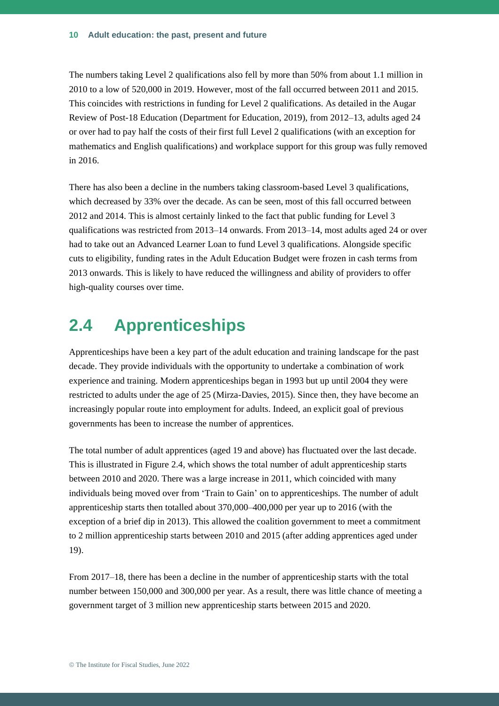The numbers taking Level 2 qualifications also fell by more than 50% from about 1.1 million in 2010 to a low of 520,000 in 2019. However, most of the fall occurred between 2011 and 2015. This coincides with restrictions in funding for Level 2 qualifications. As detailed in the Augar Review of Post-18 Education (Department for Education, 2019), from 2012–13, adults aged 24 or over had to pay half the costs of their first full Level 2 qualifications (with an exception for mathematics and English qualifications) and workplace support for this group was fully removed in 2016.

There has also been a decline in the numbers taking classroom-based Level 3 qualifications, which decreased by 33% over the decade. As can be seen, most of this fall occurred between 2012 and 2014. This is almost certainly linked to the fact that public funding for Level 3 qualifications was restricted from 2013–14 onwards. From 2013–14, most adults aged 24 or over had to take out an Advanced Learner Loan to fund Level 3 qualifications. Alongside specific cuts to eligibility, funding rates in the Adult Education Budget were frozen in cash terms from 2013 onwards. This is likely to have reduced the willingness and ability of providers to offer high-quality courses over time.

## **2.4 Apprenticeships**

Apprenticeships have been a key part of the adult education and training landscape for the past decade. They provide individuals with the opportunity to undertake a combination of work experience and training. Modern apprenticeships began in 1993 but up until 2004 they were restricted to adults under the age of 25 (Mirza-Davies, 2015). Since then, they have become an increasingly popular route into employment for adults. Indeed, an explicit goal of previous governments has been to increase the number of apprentices.

The total number of adult apprentices (aged 19 and above) has fluctuated over the last decade. This is illustrated in Figure 2.4, which shows the total number of adult apprenticeship starts between 2010 and 2020. There was a large increase in 2011, which coincided with many individuals being moved over from 'Train to Gain' on to apprenticeships. The number of adult apprenticeship starts then totalled about 370,000–400,000 per year up to 2016 (with the exception of a brief dip in 2013). This allowed the coalition government to meet a commitment to 2 million apprenticeship starts between 2010 and 2015 (after adding apprentices aged under 19).

From 2017–18, there has been a decline in the number of apprenticeship starts with the total number between 150,000 and 300,000 per year. As a result, there was little chance of meeting a government target of 3 million new apprenticeship starts between 2015 and 2020.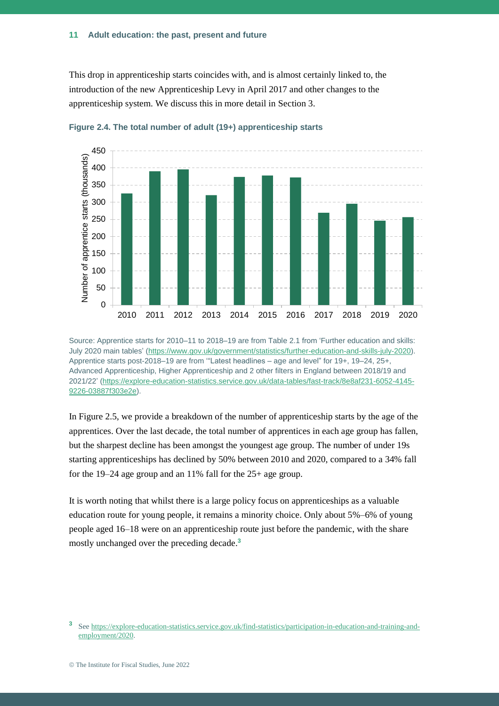This drop in apprenticeship starts coincides with, and is almost certainly linked to, the introduction of the new Apprenticeship Levy in April 2017 and other changes to the apprenticeship system. We discuss this in more detail in Section 3.





Source: Apprentice starts for 2010–11 to 2018–19 are from Table 2.1 from 'Further education and skills: July 2020 main tables' [\(https://www.gov.uk/government/statistics/further-education-and-skills-july-2020\)](https://www.gov.uk/government/statistics/further-education-and-skills-july-2020). Apprentice starts post-2018–19 are from '"Latest headlines – age and level" for 19+, 19–24, 25+, Advanced Apprenticeship, Higher Apprenticeship and 2 other filters in England between 2018/19 and 2021/22' [\(https://explore-education-statistics.service.gov.uk/data-tables/fast-track/8e8af231-6052-4145-](https://explore-education-statistics.service.gov.uk/data-tables/fast-track/8e8af231-6052-4145-9226-03887f303e2e) [9226-03887f303e2e\)](https://explore-education-statistics.service.gov.uk/data-tables/fast-track/8e8af231-6052-4145-9226-03887f303e2e).

In Figure 2.5, we provide a breakdown of the number of apprenticeship starts by the age of the apprentices. Over the last decade, the total number of apprentices in each age group has fallen, but the sharpest decline has been amongst the youngest age group. The number of under 19s starting apprenticeships has declined by 50% between 2010 and 2020, compared to a 34% fall for the 19–24 age group and an 11% fall for the 25+ age group.

It is worth noting that whilst there is a large policy focus on apprenticeships as a valuable education route for young people, it remains a minority choice. Only about 5%–6% of young people aged 16–18 were on an apprenticeship route just before the pandemic, with the share mostly unchanged over the preceding decade.**<sup>3</sup>**

**<sup>3</sup>** See [https://explore-education-statistics.service.gov.uk/find-statistics/participation-in-education-and-training-and](https://explore-education-statistics.service.gov.uk/find-statistics/participation-in-education-and-training-and-employment/2020)[employment/2020.](https://explore-education-statistics.service.gov.uk/find-statistics/participation-in-education-and-training-and-employment/2020)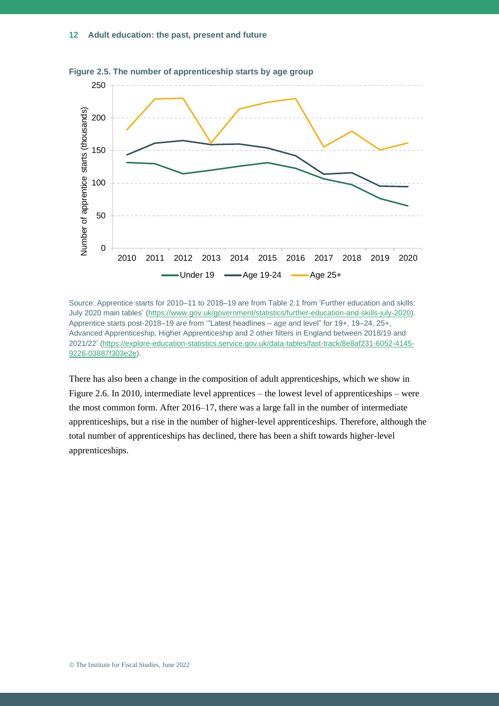

**Figure 2.5. The number of apprenticeship starts by age group**

There has also been a change in the composition of adult apprenticeships, which we show in Figure 2.6. In 2010, intermediate level apprentices – the lowest level of apprenticeships – were the most common form. After 2016–17, there was a large fall in the number of intermediate apprenticeships, but a rise in the number of higher-level apprenticeships. Therefore, although the total number of apprenticeships has declined, there has been a shift towards higher-level apprenticeships.

Source: Apprentice starts for 2010–11 to 2018–19 are from Table 2.1 from 'Further education and skills: July 2020 main tables' [\(https://www.gov.uk/government/statistics/further-education-and-skills-july-2020\)](https://www.gov.uk/government/statistics/further-education-and-skills-july-2020). Apprentice starts post-2018–19 are from '"Latest headlines – age and level" for 19+, 19–24, 25+, Advanced Apprenticeship, Higher Apprenticeship and 2 other filters in England between 2018/19 and 2021/22' [\(https://explore-education-statistics.service.gov.uk/data-tables/fast-track/8e8af231-6052-4145-](https://explore-education-statistics.service.gov.uk/data-tables/fast-track/8e8af231-6052-4145-9226-03887f303e2e) [9226-03887f303e2e\)](https://explore-education-statistics.service.gov.uk/data-tables/fast-track/8e8af231-6052-4145-9226-03887f303e2e).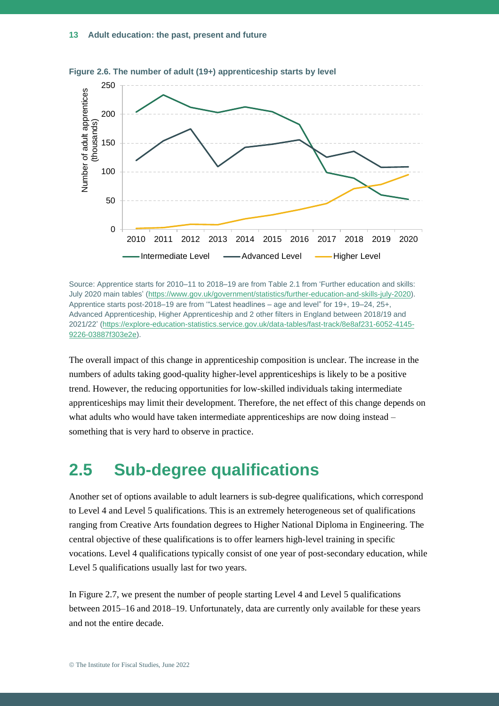

**Figure 2.6. The number of adult (19+) apprenticeship starts by level**

Source: Apprentice starts for 2010–11 to 2018–19 are from Table 2.1 from 'Further education and skills: July 2020 main tables' [\(https://www.gov.uk/government/statistics/further-education-and-skills-july-2020\)](https://www.gov.uk/government/statistics/further-education-and-skills-july-2020). Apprentice starts post-2018–19 are from '"Latest headlines – age and level" for 19+, 19–24, 25+, Advanced Apprenticeship, Higher Apprenticeship and 2 other filters in England between 2018/19 and 2021/22' [\(https://explore-education-statistics.service.gov.uk/data-tables/fast-track/8e8af231-6052-4145-](https://explore-education-statistics.service.gov.uk/data-tables/fast-track/8e8af231-6052-4145-9226-03887f303e2e) [9226-03887f303e2e\)](https://explore-education-statistics.service.gov.uk/data-tables/fast-track/8e8af231-6052-4145-9226-03887f303e2e).

The overall impact of this change in apprenticeship composition is unclear. The increase in the numbers of adults taking good-quality higher-level apprenticeships is likely to be a positive trend. However, the reducing opportunities for low-skilled individuals taking intermediate apprenticeships may limit their development. Therefore, the net effect of this change depends on what adults who would have taken intermediate apprenticeships are now doing instead – something that is very hard to observe in practice.

## **2.5 Sub-degree qualifications**

Another set of options available to adult learners is sub-degree qualifications, which correspond to Level 4 and Level 5 qualifications. This is an extremely heterogeneous set of qualifications ranging from Creative Arts foundation degrees to Higher National Diploma in Engineering. The central objective of these qualifications is to offer learners high-level training in specific vocations. Level 4 qualifications typically consist of one year of post-secondary education, while Level 5 qualifications usually last for two years.

In Figure 2.7, we present the number of people starting Level 4 and Level 5 qualifications between 2015–16 and 2018–19. Unfortunately, data are currently only available for these years and not the entire decade.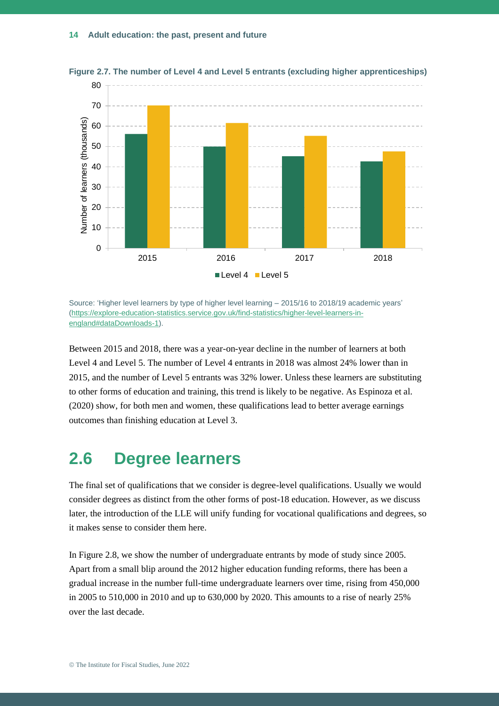

**Figure 2.7. The number of Level 4 and Level 5 entrants (excluding higher apprenticeships)**

Source: 'Higher level learners by type of higher level learning – 2015/16 to 2018/19 academic years' [\(https://explore-education-statistics.service.gov.uk/find-statistics/higher-level-learners-in](https://explore-education-statistics.service.gov.uk/find-statistics/higher-level-learners-in-england%23dataDownloads-1)[england#dataDownloads-1\)](https://explore-education-statistics.service.gov.uk/find-statistics/higher-level-learners-in-england%23dataDownloads-1).

Between 2015 and 2018, there was a year-on-year decline in the number of learners at both Level 4 and Level 5. The number of Level 4 entrants in 2018 was almost 24% lower than in 2015, and the number of Level 5 entrants was 32% lower. Unless these learners are substituting to other forms of education and training, this trend is likely to be negative. As Espinoza et al. (2020) show, for both men and women, these qualifications lead to better average earnings outcomes than finishing education at Level 3.

## **2.6 Degree learners**

The final set of qualifications that we consider is degree-level qualifications. Usually we would consider degrees as distinct from the other forms of post-18 education. However, as we discuss later, the introduction of the LLE will unify funding for vocational qualifications and degrees, so it makes sense to consider them here.

In Figure 2.8, we show the number of undergraduate entrants by mode of study since 2005. Apart from a small blip around the 2012 higher education funding reforms, there has been a gradual increase in the number full-time undergraduate learners over time, rising from 450,000 in 2005 to 510,000 in 2010 and up to 630,000 by 2020. This amounts to a rise of nearly 25% over the last decade.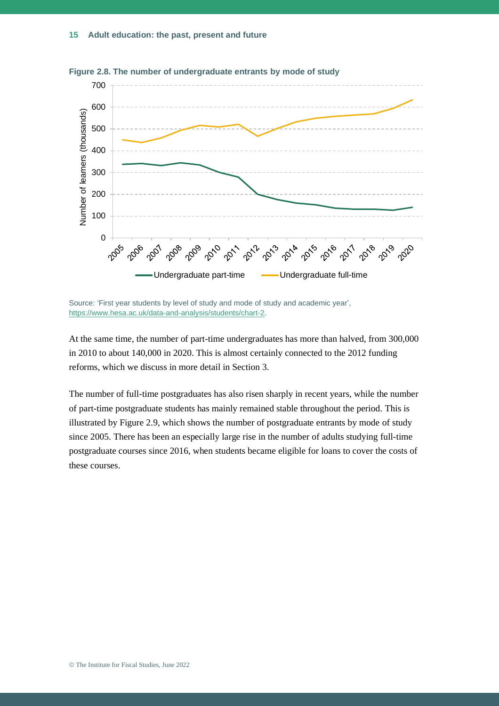

**Figure 2.8. The number of undergraduate entrants by mode of study**

Source: 'First year students by level of study and mode of study and academic year', [https://www.hesa.ac.uk/data-and-analysis/students/chart-2.](https://www.hesa.ac.uk/data-and-analysis/students/chart-2)

At the same time, the number of part-time undergraduates has more than halved, from 300,000 in 2010 to about 140,000 in 2020. This is almost certainly connected to the 2012 funding reforms, which we discuss in more detail in Section 3.

The number of full-time postgraduates has also risen sharply in recent years, while the number of part-time postgraduate students has mainly remained stable throughout the period. This is illustrated by Figure 2.9, which shows the number of postgraduate entrants by mode of study since 2005. There has been an especially large rise in the number of adults studying full-time postgraduate courses since 2016, when students became eligible for loans to cover the costs of these courses.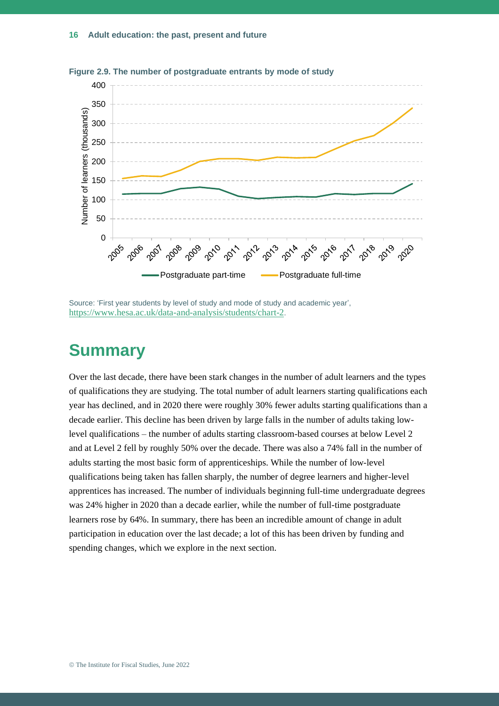

**Figure 2.9. The number of postgraduate entrants by mode of study**

Source: 'First year students by level of study and mode of study and academic year', <https://www.hesa.ac.uk/data-and-analysis/students/chart-2>.

## **Summary**

Over the last decade, there have been stark changes in the number of adult learners and the types of qualifications they are studying. The total number of adult learners starting qualifications each year has declined, and in 2020 there were roughly 30% fewer adults starting qualifications than a decade earlier. This decline has been driven by large falls in the number of adults taking lowlevel qualifications – the number of adults starting classroom-based courses at below Level 2 and at Level 2 fell by roughly 50% over the decade. There was also a 74% fall in the number of adults starting the most basic form of apprenticeships. While the number of low-level qualifications being taken has fallen sharply, the number of degree learners and higher-level apprentices has increased. The number of individuals beginning full-time undergraduate degrees was 24% higher in 2020 than a decade earlier, while the number of full-time postgraduate learners rose by 64%. In summary, there has been an incredible amount of change in adult participation in education over the last decade; a lot of this has been driven by funding and spending changes, which we explore in the next section.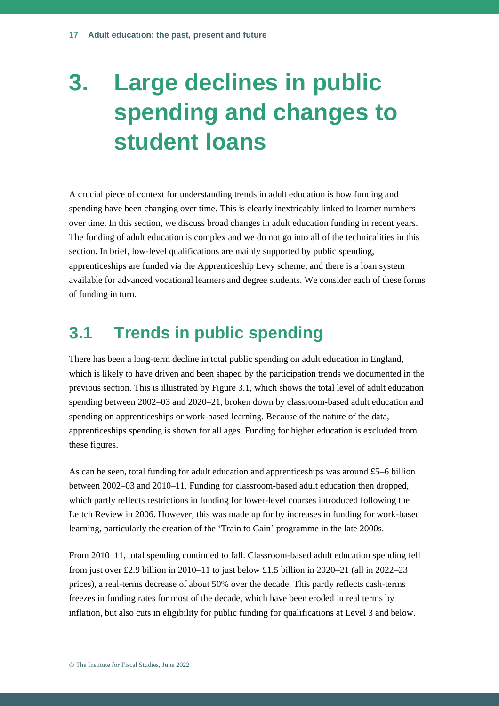## **3. Large declines in public spending and changes to student loans**

A crucial piece of context for understanding trends in adult education is how funding and spending have been changing over time. This is clearly inextricably linked to learner numbers over time. In this section, we discuss broad changes in adult education funding in recent years. The funding of adult education is complex and we do not go into all of the technicalities in this section. In brief, low-level qualifications are mainly supported by public spending, apprenticeships are funded via the Apprenticeship Levy scheme, and there is a loan system available for advanced vocational learners and degree students. We consider each of these forms of funding in turn.

## **3.1 Trends in public spending**

There has been a long-term decline in total public spending on adult education in England, which is likely to have driven and been shaped by the participation trends we documented in the previous section. This is illustrated by Figure 3.1, which shows the total level of adult education spending between 2002–03 and 2020–21, broken down by classroom-based adult education and spending on apprenticeships or work-based learning. Because of the nature of the data, apprenticeships spending is shown for all ages. Funding for higher education is excluded from these figures.

As can be seen, total funding for adult education and apprenticeships was around £5–6 billion between 2002–03 and 2010–11. Funding for classroom-based adult education then dropped, which partly reflects restrictions in funding for lower-level courses introduced following the Leitch Review in 2006. However, this was made up for by increases in funding for work-based learning, particularly the creation of the 'Train to Gain' programme in the late 2000s.

From 2010–11, total spending continued to fall. Classroom-based adult education spending fell from just over £2.9 billion in 2010–11 to just below £1.5 billion in 2020–21 (all in 2022–23 prices), a real-terms decrease of about 50% over the decade. This partly reflects cash-terms freezes in funding rates for most of the decade, which have been eroded in real terms by inflation, but also cuts in eligibility for public funding for qualifications at Level 3 and below.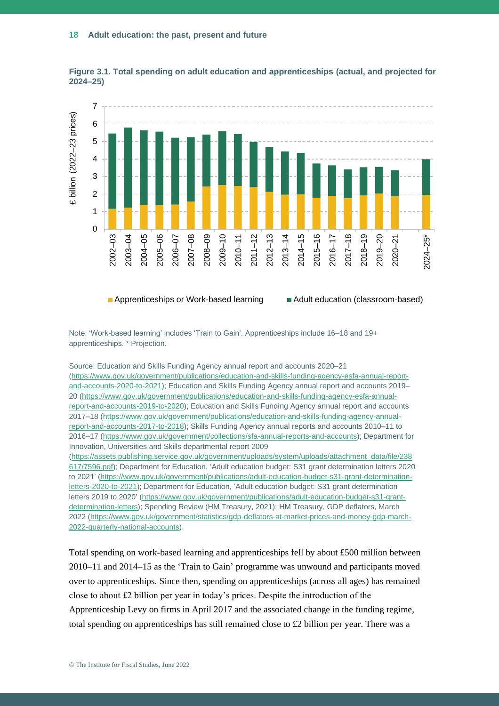

**Figure 3.1. Total spending on adult education and apprenticeships (actual, and projected for 2024–25)**

**Apprenticeships or Work-based learning Adult education (classroom-based)** 

Note: 'Work-based learning' includes 'Train to Gain'. Apprenticeships include 16–18 and 19+ apprenticeships. \* Projection.

Source: Education and Skills Funding Agency annual report and accounts 2020–21 [\(https://www.gov.uk/government/publications/education-and-skills-funding-agency-esfa-annual-report](https://www.gov.uk/government/publications/education-and-skills-funding-agency-esfa-annual-report-and-accounts-2020-to-2021)[and-accounts-2020-to-2021\)](https://www.gov.uk/government/publications/education-and-skills-funding-agency-esfa-annual-report-and-accounts-2020-to-2021); Education and Skills Funding Agency annual report and accounts 2019– 20 [\(https://www.gov.uk/government/publications/education-and-skills-funding-agency-esfa-annual](https://www.gov.uk/government/publications/education-and-skills-funding-agency-esfa-annual-report-and-accounts-2019-to-2020)[report-and-accounts-2019-to-2020\)](https://www.gov.uk/government/publications/education-and-skills-funding-agency-esfa-annual-report-and-accounts-2019-to-2020); Education and Skills Funding Agency annual report and accounts 2017–18 [\(https://www.gov.uk/government/publications/education-and-skills-funding-agency-annual](https://www.gov.uk/government/publications/education-and-skills-funding-agency-annual-report-and-accounts-2017-to-2018)[report-and-accounts-2017-to-2018\)](https://www.gov.uk/government/publications/education-and-skills-funding-agency-annual-report-and-accounts-2017-to-2018); Skills Funding Agency annual reports and accounts 2010–11 to 2016–17 [\(https://www.gov.uk/government/collections/sfa-annual-reports-and-accounts\)](https://www.gov.uk/government/collections/sfa-annual-reports-and-accounts); Department for Innovation, Universities and Skills departmental report 2009 [\(https://assets.publishing.service.gov.uk/government/uploads/system/uploads/attachment\\_data/file/238](https://assets.publishing.service.gov.uk/government/uploads/system/uploads/attachment_data/file/238617/7596.pdf) [617/7596.pdf\)](https://assets.publishing.service.gov.uk/government/uploads/system/uploads/attachment_data/file/238617/7596.pdf); Department for Education, 'Adult education budget: S31 grant determination letters 2020 to 2021' [\(https://www.gov.uk/government/publications/adult-education-budget-s31-grant-determination](https://www.gov.uk/government/publications/adult-education-budget-s31-grant-determination-letters-2020-to-2021)[letters-2020-to-2021\)](https://www.gov.uk/government/publications/adult-education-budget-s31-grant-determination-letters-2020-to-2021); Department for Education, 'Adult education budget: S31 grant determination letters 2019 to 2020' [\(https://www.gov.uk/government/publications/adult-education-budget-s31-grant](https://www.gov.uk/government/publications/adult-education-budget-s31-grant-determination-letters)[determination-letters\)](https://www.gov.uk/government/publications/adult-education-budget-s31-grant-determination-letters); Spending Review (HM Treasury, 2021); HM Treasury, GDP deflators, March 2022 [\(https://www.gov.uk/government/statistics/gdp-deflators-at-market-prices-and-money-gdp-march-](https://www.gov.uk/government/statistics/gdp-deflators-at-market-prices-and-money-gdp-march-2022-quarterly-national-accounts)[2022-quarterly-national-accounts\)](https://www.gov.uk/government/statistics/gdp-deflators-at-market-prices-and-money-gdp-march-2022-quarterly-national-accounts).

Total spending on work-based learning and apprenticeships fell by about £500 million between 2010–11 and 2014–15 as the 'Train to Gain' programme was unwound and participants moved over to apprenticeships. Since then, spending on apprenticeships (across all ages) has remained close to about £2 billion per year in today's prices. Despite the introduction of the Apprenticeship Levy on firms in April 2017 and the associated change in the funding regime, total spending on apprenticeships has still remained close to £2 billion per year. There was a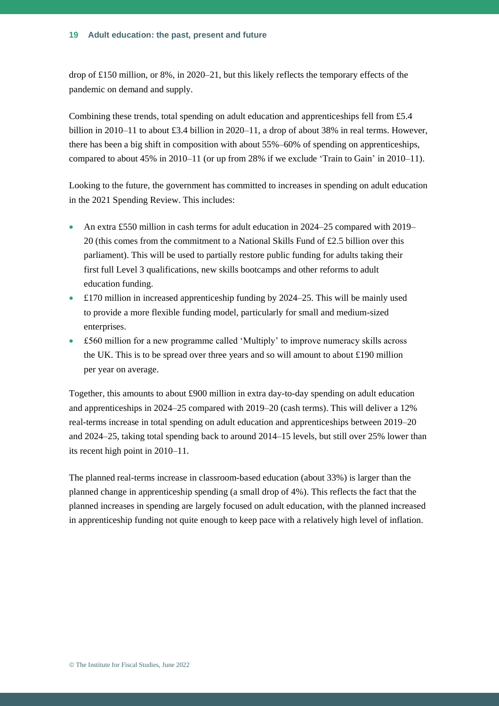drop of £150 million, or 8%, in 2020–21, but this likely reflects the temporary effects of the pandemic on demand and supply.

Combining these trends, total spending on adult education and apprenticeships fell from £5.4 billion in 2010–11 to about £3.4 billion in 2020–11, a drop of about 38% in real terms. However, there has been a big shift in composition with about 55%–60% of spending on apprenticeships, compared to about 45% in 2010–11 (or up from 28% if we exclude 'Train to Gain' in 2010–11).

Looking to the future, the government has committed to increases in spending on adult education in the 2021 Spending Review. This includes:

- An extra £550 million in cash terms for adult education in 2024–25 compared with 2019– 20 (this comes from the commitment to a National Skills Fund of £2.5 billion over this parliament). This will be used to partially restore public funding for adults taking their first full Level 3 qualifications, new skills bootcamps and other reforms to adult education funding.
- £170 million in increased apprenticeship funding by 2024–25. This will be mainly used to provide a more flexible funding model, particularly for small and medium-sized enterprises.
- £560 million for a new programme called 'Multiply' to improve numeracy skills across the UK. This is to be spread over three years and so will amount to about £190 million per year on average.

Together, this amounts to about £900 million in extra day-to-day spending on adult education and apprenticeships in 2024–25 compared with 2019–20 (cash terms). This will deliver a 12% real-terms increase in total spending on adult education and apprenticeships between 2019–20 and 2024–25, taking total spending back to around 2014–15 levels, but still over 25% lower than its recent high point in 2010–11.

The planned real-terms increase in classroom-based education (about 33%) is larger than the planned change in apprenticeship spending (a small drop of 4%). This reflects the fact that the planned increases in spending are largely focused on adult education, with the planned increased in apprenticeship funding not quite enough to keep pace with a relatively high level of inflation.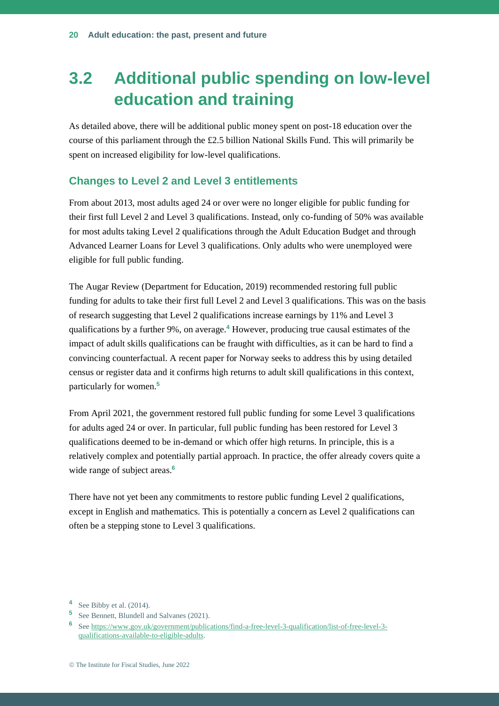## **3.2 Additional public spending on low-level education and training**

As detailed above, there will be additional public money spent on post-18 education over the course of this parliament through the £2.5 billion National Skills Fund. This will primarily be spent on increased eligibility for low-level qualifications.

#### **Changes to Level 2 and Level 3 entitlements**

From about 2013, most adults aged 24 or over were no longer eligible for public funding for their first full Level 2 and Level 3 qualifications. Instead, only co-funding of 50% was available for most adults taking Level 2 qualifications through the Adult Education Budget and through Advanced Learner Loans for Level 3 qualifications. Only adults who were unemployed were eligible for full public funding.

The Augar Review (Department for Education, 2019) recommended restoring full public funding for adults to take their first full Level 2 and Level 3 qualifications. This was on the basis of research suggesting that Level 2 qualifications increase earnings by 11% and Level 3 qualifications by a further 9%, on average.**<sup>4</sup>** However, producing true causal estimates of the impact of adult skills qualifications can be fraught with difficulties, as it can be hard to find a convincing counterfactual. A recent paper for Norway seeks to address this by using detailed census or register data and it confirms high returns to adult skill qualifications in this context, particularly for women.**<sup>5</sup>**

From April 2021, the government restored full public funding for some Level 3 qualifications for adults aged 24 or over. In particular, full public funding has been restored for Level 3 qualifications deemed to be in-demand or which offer high returns. In principle, this is a relatively complex and potentially partial approach. In practice, the offer already covers quite a wide range of subject areas.**<sup>6</sup>**

There have not yet been any commitments to restore public funding Level 2 qualifications, except in English and mathematics. This is potentially a concern as Level 2 qualifications can often be a stepping stone to Level 3 qualifications.

**<sup>4</sup>** See Bibby et al. (2014).

**<sup>5</sup>** See Bennett, Blundell and Salvanes (2021).

**<sup>6</sup>** See [https://www.gov.uk/government/publications/find-a-free-level-3-qualification/list-of-free-level-3](https://www.gov.uk/government/publications/find-a-free-level-3-qualification/list-of-free-level-3-qualifications-available-to-eligible-adults) [qualifications-available-to-eligible-adults.](https://www.gov.uk/government/publications/find-a-free-level-3-qualification/list-of-free-level-3-qualifications-available-to-eligible-adults)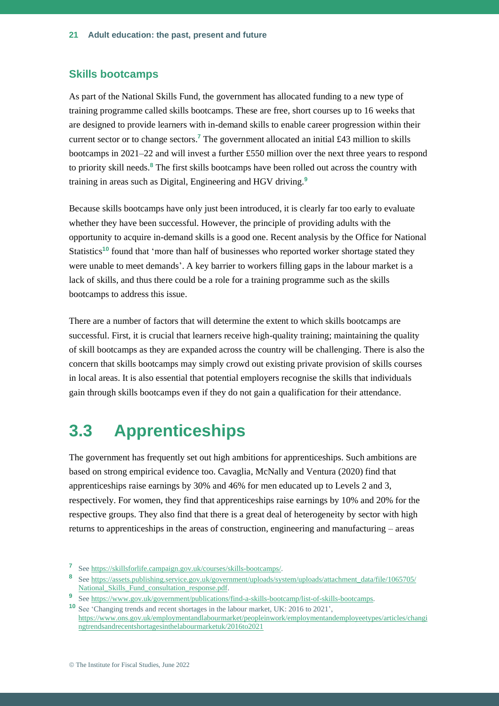#### **Skills bootcamps**

As part of the National Skills Fund, the government has allocated funding to a new type of training programme called skills bootcamps. These are free, short courses up to 16 weeks that are designed to provide learners with in-demand skills to enable career progression within their current sector or to change sectors.**<sup>7</sup>** The government allocated an initial £43 million to skills bootcamps in 2021–22 and will invest a further £550 million over the next three years to respond to priority skill needs.**<sup>8</sup>** The first skills bootcamps have been rolled out across the country with training in areas such as Digital, Engineering and HGV driving.**<sup>9</sup>**

Because skills bootcamps have only just been introduced, it is clearly far too early to evaluate whether they have been successful. However, the principle of providing adults with the opportunity to acquire in-demand skills is a good one. Recent analysis by the Office for National Statistics<sup>10</sup> found that 'more than half of businesses who reported worker shortage stated they were unable to meet demands'. A key barrier to workers filling gaps in the labour market is a lack of skills, and thus there could be a role for a training programme such as the skills bootcamps to address this issue.

There are a number of factors that will determine the extent to which skills bootcamps are successful. First, it is crucial that learners receive high-quality training; maintaining the quality of skill bootcamps as they are expanded across the country will be challenging. There is also the concern that skills bootcamps may simply crowd out existing private provision of skills courses in local areas. It is also essential that potential employers recognise the skills that individuals gain through skills bootcamps even if they do not gain a qualification for their attendance.

## **3.3 Apprenticeships**

The government has frequently set out high ambitions for apprenticeships. Such ambitions are based on strong empirical evidence too. Cavaglia, McNally and Ventura (2020) find that apprenticeships raise earnings by 30% and 46% for men educated up to Levels 2 and 3, respectively. For women, they find that apprenticeships raise earnings by 10% and 20% for the respective groups. They also find that there is a great deal of heterogeneity by sector with high returns to apprenticeships in the areas of construction, engineering and manufacturing – areas

**<sup>7</sup>** See [https://skillsforlife.campaign.gov.uk/courses/skills-bootcamps/.](https://skillsforlife.campaign.gov.uk/courses/skills-bootcamps/)

**<sup>8</sup>** See [https://assets.publishing.service.gov.uk/government/uploads/system/uploads/attachment\\_data/file/1065705/](https://assets.publishing.service.gov.uk/government/uploads/system/uploads/attachment_data/file/1065705/National_Skills_Fund_consultation_response.pdf)  [National\\_Skills\\_Fund\\_consultation\\_response.pdf.](https://assets.publishing.service.gov.uk/government/uploads/system/uploads/attachment_data/file/1065705/National_Skills_Fund_consultation_response.pdf)

**<sup>9</sup>** See [https://www.gov.uk/government/publications/find-a-skills-bootcamp/list-of-skills-bootcamps.](https://www.gov.uk/government/publications/find-a-skills-bootcamp/list-of-skills-bootcamps)

**<sup>10</sup>** See 'Changing trends and recent shortages in the labour market, UK: 2016 to 2021', [https://www.ons.gov.uk/employmentandlabourmarket/peopleinwork/employmentandemployeetypes/articles/changi](https://www.ons.gov.uk/employmentandlabourmarket/peopleinwork/employmentandemployeetypes/articles/changingtrendsandrecentshortagesinthelabourmarketuk/2016to2021) [ngtrendsandrecentshortagesinthelabourmarketuk/2016to2021](https://www.ons.gov.uk/employmentandlabourmarket/peopleinwork/employmentandemployeetypes/articles/changingtrendsandrecentshortagesinthelabourmarketuk/2016to2021)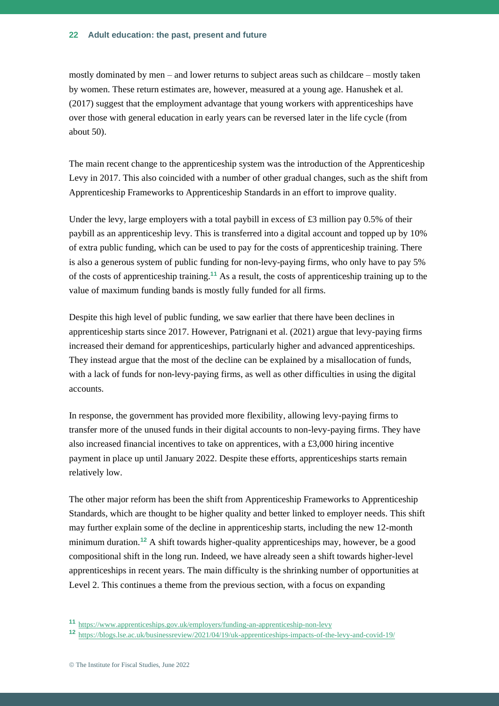#### **Adult education: the past, present and future 22**

mostly dominated by men – and lower returns to subject areas such as childcare – mostly taken by women. These return estimates are, however, measured at a young age. Hanushek et al. (2017) suggest that the employment advantage that young workers with apprenticeships have over those with general education in early years can be reversed later in the life cycle (from about 50).

The main recent change to the apprenticeship system was the introduction of the Apprenticeship Levy in 2017. This also coincided with a number of other gradual changes, such as the shift from Apprenticeship Frameworks to Apprenticeship Standards in an effort to improve quality.

Under the levy, large employers with a total paybill in excess of  $\pounds 3$  million pay 0.5% of their paybill as an apprenticeship levy. This is transferred into a digital account and topped up by 10% of extra public funding, which can be used to pay for the costs of apprenticeship training. There is also a generous system of public funding for non-levy-paying firms, who only have to pay 5% of the costs of apprenticeship training.**<sup>11</sup>** As a result, the costs of apprenticeship training up to the value of maximum funding bands is mostly fully funded for all firms.

Despite this high level of public funding, we saw earlier that there have been declines in apprenticeship starts since 2017. However, Patrignani et al. (2021) argue that levy-paying firms increased their demand for apprenticeships, particularly higher and advanced apprenticeships. They instead argue that the most of the decline can be explained by a misallocation of funds, with a lack of funds for non-levy-paying firms, as well as other difficulties in using the digital accounts.

In response, the government has provided more flexibility, allowing levy-paying firms to transfer more of the unused funds in their digital accounts to non-levy-paying firms. They have also increased financial incentives to take on apprentices, with a £3,000 hiring incentive payment in place up until January 2022. Despite these efforts, apprenticeships starts remain relatively low.

The other major reform has been the shift from Apprenticeship Frameworks to Apprenticeship Standards, which are thought to be higher quality and better linked to employer needs. This shift may further explain some of the decline in apprenticeship starts, including the new 12-month minimum duration.**<sup>12</sup>** A shift towards higher-quality apprenticeships may, however, be a good compositional shift in the long run. Indeed, we have already seen a shift towards higher-level apprenticeships in recent years. The main difficulty is the shrinking number of opportunities at Level 2. This continues a theme from the previous section, with a focus on expanding

**<sup>11</sup>** <https://www.apprenticeships.gov.uk/employers/funding-an-apprenticeship-non-levy>

**<sup>12</sup>** <https://blogs.lse.ac.uk/businessreview/2021/04/19/uk-apprenticeships-impacts-of-the-levy-and-covid-19/>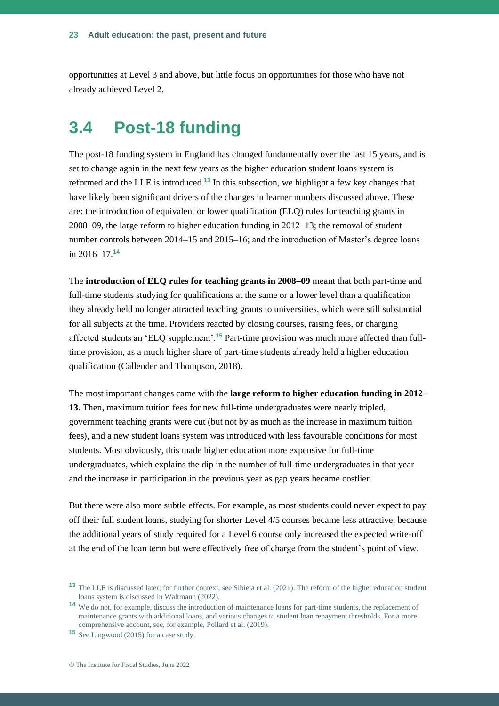opportunities at Level 3 and above, but little focus on opportunities for those who have not already achieved Level 2.

## **3.4 Post-18 funding**

The post-18 funding system in England has changed fundamentally over the last 15 years, and is set to change again in the next few years as the higher education student loans system is reformed and the LLE is introduced.**<sup>13</sup>** In this subsection, we highlight a few key changes that have likely been significant drivers of the changes in learner numbers discussed above. These are: the introduction of equivalent or lower qualification (ELQ) rules for teaching grants in 2008–09, the large reform to higher education funding in 2012–13; the removal of student number controls between 2014–15 and 2015–16; and the introduction of Master's degree loans in 2016–17.**<sup>14</sup>**

The **introduction of ELQ rules for teaching grants in 2008–09** meant that both part-time and full-time students studying for qualifications at the same or a lower level than a qualification they already held no longer attracted teaching grants to universities, which were still substantial for all subjects at the time. Providers reacted by closing courses, raising fees, or charging affected students an 'ELQ supplement'.**<sup>15</sup>** Part-time provision was much more affected than fulltime provision, as a much higher share of part-time students already held a higher education qualification (Callender and Thompson, 2018).

The most important changes came with the **large reform to higher education funding in 2012– 13**. Then, maximum tuition fees for new full-time undergraduates were nearly tripled, government teaching grants were cut (but not by as much as the increase in maximum tuition fees), and a new student loans system was introduced with less favourable conditions for most students. Most obviously, this made higher education more expensive for full-time undergraduates, which explains the dip in the number of full-time undergraduates in that year and the increase in participation in the previous year as gap years became costlier.

But there were also more subtle effects. For example, as most students could never expect to pay off their full student loans, studying for shorter Level 4/5 courses became less attractive, because the additional years of study required for a Level 6 course only increased the expected write-off at the end of the loan term but were effectively free of charge from the student's point of view.

**<sup>13</sup>** The LLE is discussed later; for further context, see Sibieta et al. (2021). The reform of the higher education student loans system is discussed in Waltmann (2022).

**<sup>14</sup>** We do not, for example, discuss the introduction of maintenance loans for part-time students, the replacement of maintenance grants with additional loans, and various changes to student loan repayment thresholds. For a more comprehensive account, see, for example, Pollard et al. (2019).

**<sup>15</sup>** See Lingwood (2015) for a case study.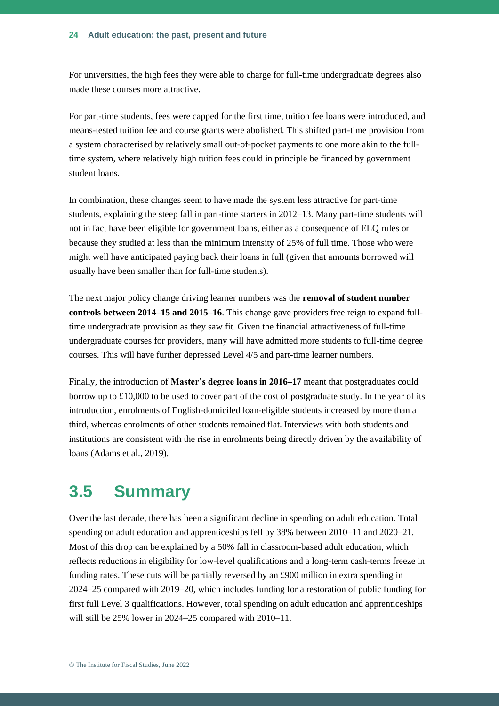For universities, the high fees they were able to charge for full-time undergraduate degrees also made these courses more attractive.

For part-time students, fees were capped for the first time, tuition fee loans were introduced, and means-tested tuition fee and course grants were abolished. This shifted part-time provision from a system characterised by relatively small out-of-pocket payments to one more akin to the fulltime system, where relatively high tuition fees could in principle be financed by government student loans.

In combination, these changes seem to have made the system less attractive for part-time students, explaining the steep fall in part-time starters in 2012–13. Many part-time students will not in fact have been eligible for government loans, either as a consequence of ELQ rules or because they studied at less than the minimum intensity of 25% of full time. Those who were might well have anticipated paying back their loans in full (given that amounts borrowed will usually have been smaller than for full-time students).

The next major policy change driving learner numbers was the **removal of student number controls between 2014–15 and 2015–16**. This change gave providers free reign to expand fulltime undergraduate provision as they saw fit. Given the financial attractiveness of full-time undergraduate courses for providers, many will have admitted more students to full-time degree courses. This will have further depressed Level 4/5 and part-time learner numbers.

Finally, the introduction of **Master's degree loans in 2016–17** meant that postgraduates could borrow up to £10,000 to be used to cover part of the cost of postgraduate study. In the year of its introduction, enrolments of English-domiciled loan-eligible students increased by more than a third, whereas enrolments of other students remained flat. Interviews with both students and institutions are consistent with the rise in enrolments being directly driven by the availability of loans (Adams et al., 2019).

### **3.5 Summary**

Over the last decade, there has been a significant decline in spending on adult education. Total spending on adult education and apprenticeships fell by 38% between 2010–11 and 2020–21. Most of this drop can be explained by a 50% fall in classroom-based adult education, which reflects reductions in eligibility for low-level qualifications and a long-term cash-terms freeze in funding rates. These cuts will be partially reversed by an £900 million in extra spending in 2024–25 compared with 2019–20, which includes funding for a restoration of public funding for first full Level 3 qualifications. However, total spending on adult education and apprenticeships will still be 25% lower in 2024–25 compared with 2010–11.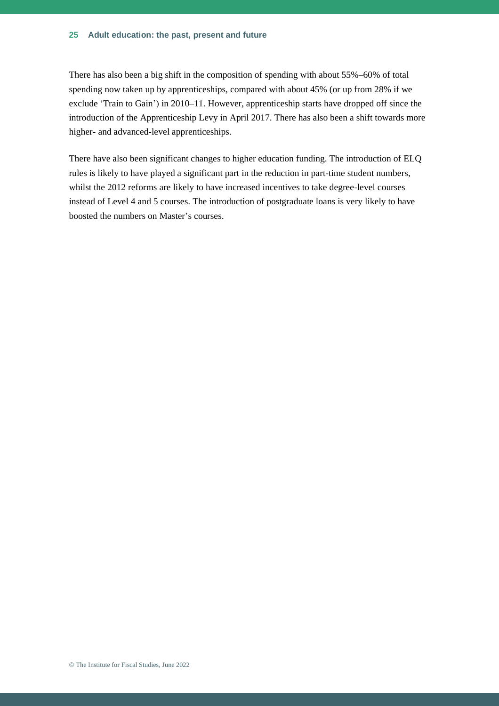#### **Adult education: the past, present and future 25**

There has also been a big shift in the composition of spending with about 55%–60% of total spending now taken up by apprenticeships, compared with about 45% (or up from 28% if we exclude 'Train to Gain') in 2010–11. However, apprenticeship starts have dropped off since the introduction of the Apprenticeship Levy in April 2017. There has also been a shift towards more higher- and advanced-level apprenticeships.

There have also been significant changes to higher education funding. The introduction of ELQ rules is likely to have played a significant part in the reduction in part-time student numbers, whilst the 2012 reforms are likely to have increased incentives to take degree-level courses instead of Level 4 and 5 courses. The introduction of postgraduate loans is very likely to have boosted the numbers on Master's courses.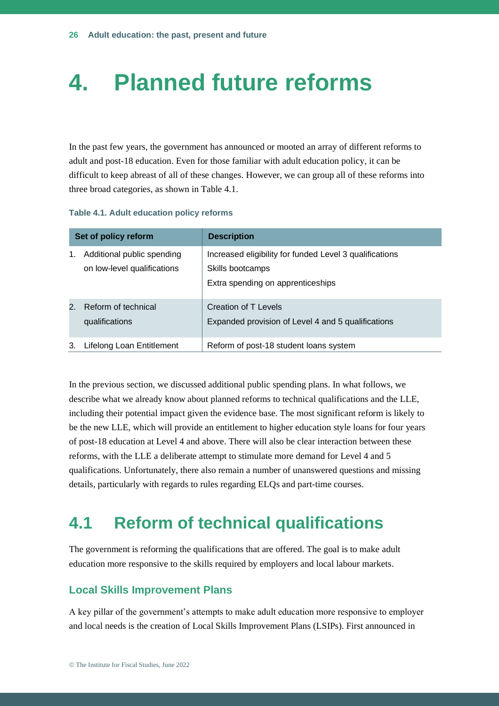## **4. Planned future reforms**

In the past few years, the government has announced or mooted an array of different reforms to adult and post-18 education. Even for those familiar with adult education policy, it can be difficult to keep abreast of all of these changes. However, we can group all of these reforms into three broad categories, as shown in Table 4.1.

#### **Table 4.1. Adult education policy reforms**

| Set of policy reform |                                                           | <b>Description</b>                                                                                               |  |
|----------------------|-----------------------------------------------------------|------------------------------------------------------------------------------------------------------------------|--|
| 1.                   | Additional public spending<br>on low-level qualifications | Increased eligibility for funded Level 3 qualifications<br>Skills bootcamps<br>Extra spending on apprenticeships |  |
| $2_{1}$              | Reform of technical<br>qualifications                     | Creation of T Levels<br>Expanded provision of Level 4 and 5 qualifications                                       |  |
| 3.                   | Lifelong Loan Entitlement                                 | Reform of post-18 student loans system                                                                           |  |

In the previous section, we discussed additional public spending plans. In what follows, we describe what we already know about planned reforms to technical qualifications and the LLE, including their potential impact given the evidence base. The most significant reform is likely to be the new LLE, which will provide an entitlement to higher education style loans for four years of post-18 education at Level 4 and above. There will also be clear interaction between these reforms, with the LLE a deliberate attempt to stimulate more demand for Level 4 and 5 qualifications. Unfortunately, there also remain a number of unanswered questions and missing details, particularly with regards to rules regarding ELQs and part-time courses.

## **4.1 Reform of technical qualifications**

The government is reforming the qualifications that are offered. The goal is to make adult education more responsive to the skills required by employers and local labour markets.

#### **Local Skills Improvement Plans**

A key pillar of the government's attempts to make adult education more responsive to employer and local needs is the creation of Local Skills Improvement Plans (LSIPs). First announced in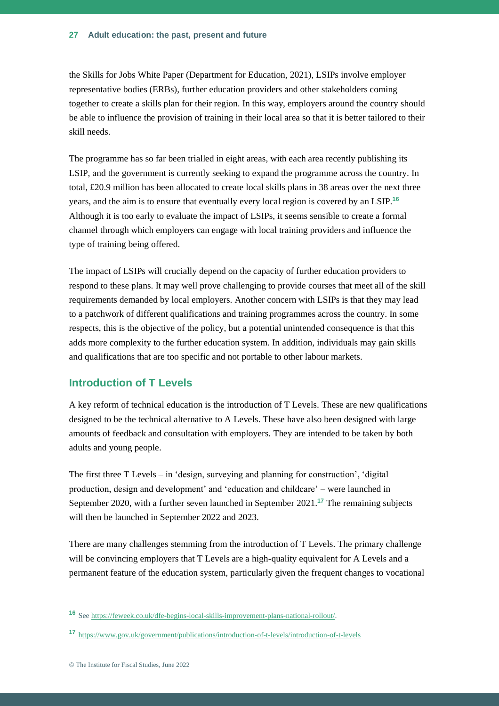the Skills for Jobs White Paper (Department for Education, 2021), LSIPs involve employer representative bodies (ERBs), further education providers and other stakeholders coming together to create a skills plan for their region. In this way, employers around the country should be able to influence the provision of training in their local area so that it is better tailored to their skill needs.

The programme has so far been trialled in eight areas, with each area recently publishing its LSIP, and the government is currently seeking to expand the programme across the country. In total, £20.9 million has been allocated to create local skills plans in 38 areas over the next three years, and the aim is to ensure that eventually every local region is covered by an LSIP.**<sup>16</sup>** Although it is too early to evaluate the impact of LSIPs, it seems sensible to create a formal channel through which employers can engage with local training providers and influence the type of training being offered.

The impact of LSIPs will crucially depend on the capacity of further education providers to respond to these plans. It may well prove challenging to provide courses that meet all of the skill requirements demanded by local employers. Another concern with LSIPs is that they may lead to a patchwork of different qualifications and training programmes across the country. In some respects, this is the objective of the policy, but a potential unintended consequence is that this adds more complexity to the further education system. In addition, individuals may gain skills and qualifications that are too specific and not portable to other labour markets.

#### **Introduction of T Levels**

A key reform of technical education is the introduction of T Levels. These are new qualifications designed to be the technical alternative to A Levels. These have also been designed with large amounts of feedback and consultation with employers. They are intended to be taken by both adults and young people.

The first three  $T$  Levels – in 'design, surveying and planning for construction', 'digital production, design and development' and 'education and childcare' – were launched in September 2020, with a further seven launched in September 2021.**<sup>17</sup>** The remaining subjects will then be launched in September 2022 and 2023.

There are many challenges stemming from the introduction of T Levels. The primary challenge will be convincing employers that T Levels are a high-quality equivalent for A Levels and a permanent feature of the education system, particularly given the frequent changes to vocational

**<sup>16</sup>** See [https://feweek.co.uk/dfe-begins-local-skills-improvement-plans-national-rollout/.](https://feweek.co.uk/dfe-begins-local-skills-improvement-plans-national-rollout/)

**<sup>17</sup>** <https://www.gov.uk/government/publications/introduction-of-t-levels/introduction-of-t-levels>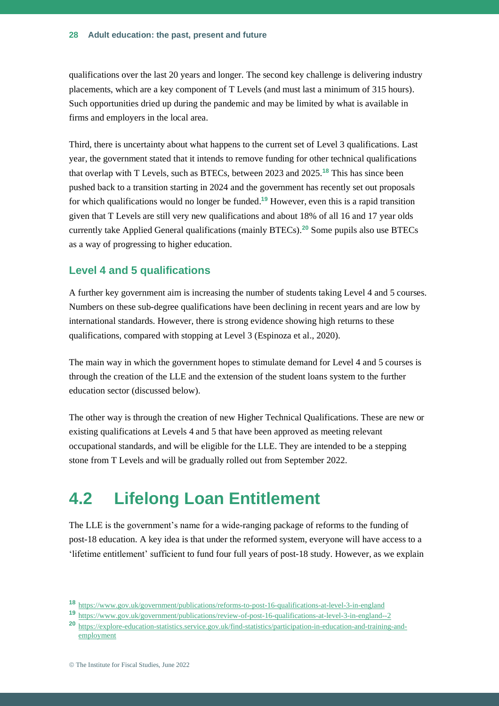qualifications over the last 20 years and longer. The second key challenge is delivering industry placements, which are a key component of T Levels (and must last a minimum of 315 hours). Such opportunities dried up during the pandemic and may be limited by what is available in firms and employers in the local area.

Third, there is uncertainty about what happens to the current set of Level 3 qualifications. Last year, the government stated that it intends to remove funding for other technical qualifications that overlap with T Levels, such as BTECs, between 2023 and 2025.**<sup>18</sup>** This has since been pushed back to a transition starting in 2024 and the government has recently set out proposals for which qualifications would no longer be funded. **<sup>19</sup>** However, even this is a rapid transition given that T Levels are still very new qualifications and about 18% of all 16 and 17 year olds currently take Applied General qualifications (mainly BTECs).**<sup>20</sup>** Some pupils also use BTECs as a way of progressing to higher education.

#### **Level 4 and 5 qualifications**

A further key government aim is increasing the number of students taking Level 4 and 5 courses. Numbers on these sub-degree qualifications have been declining in recent years and are low by international standards. However, there is strong evidence showing high returns to these qualifications, compared with stopping at Level 3 (Espinoza et al., 2020).

The main way in which the government hopes to stimulate demand for Level 4 and 5 courses is through the creation of the LLE and the extension of the student loans system to the further education sector (discussed below).

The other way is through the creation of new Higher Technical Qualifications. These are new or existing qualifications at Levels 4 and 5 that have been approved as meeting relevant occupational standards, and will be eligible for the LLE. They are intended to be a stepping stone from T Levels and will be gradually rolled out from September 2022.

## **4.2 Lifelong Loan Entitlement**

The LLE is the government's name for a wide-ranging package of reforms to the funding of post-18 education. A key idea is that under the reformed system, everyone will have access to a 'lifetime entitlement' sufficient to fund four full years of post-18 study. However, as we explain

**<sup>18</sup>** <https://www.gov.uk/government/publications/reforms-to-post-16-qualifications-at-level-3-in-england>

**<sup>19</sup>** <https://www.gov.uk/government/publications/review-of-post-16-qualifications-at-level-3-in-england--2>

**<sup>20</sup>** [https://explore-education-statistics.service.gov.uk/find-statistics/participation-in-education-and-training-and](https://explore-education-statistics.service.gov.uk/find-statistics/participation-in-education-and-training-and-employment)[employment](https://explore-education-statistics.service.gov.uk/find-statistics/participation-in-education-and-training-and-employment)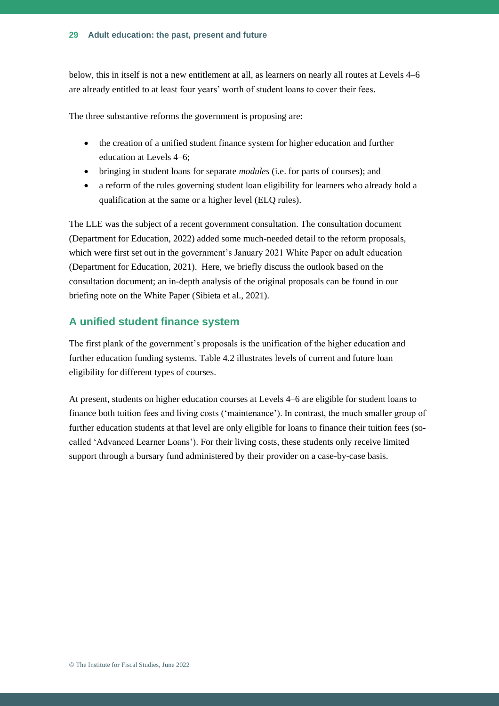below, this in itself is not a new entitlement at all, as learners on nearly all routes at Levels 4–6 are already entitled to at least four years' worth of student loans to cover their fees.

The three substantive reforms the government is proposing are:

- the creation of a unified student finance system for higher education and further education at Levels 4–6;
- bringing in student loans for separate *modules* (i.e. for parts of courses); and
- a reform of the rules governing student loan eligibility for learners who already hold a qualification at the same or a higher level (ELQ rules).

The LLE was the subject of a recent government consultation. The consultation document (Department for Education, 2022) added some much-needed detail to the reform proposals, which were first set out in the government's January 2021 White Paper on adult education (Department for Education, 2021). Here, we briefly discuss the outlook based on the consultation document; an in-depth analysis of the original proposals can be found in our briefing note on the White Paper (Sibieta et al., 2021).

#### **A unified student finance system**

The first plank of the government's proposals is the unification of the higher education and further education funding systems. Table 4.2 illustrates levels of current and future loan eligibility for different types of courses.

At present, students on higher education courses at Levels 4–6 are eligible for student loans to finance both tuition fees and living costs ('maintenance'). In contrast, the much smaller group of further education students at that level are only eligible for loans to finance their tuition fees (socalled 'Advanced Learner Loans'). For their living costs, these students only receive limited support through a bursary fund administered by their provider on a case-by-case basis.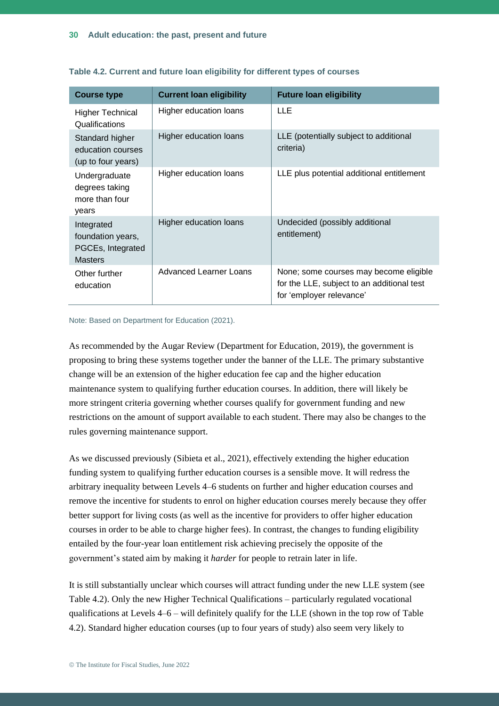| <b>Course type</b>                                                     | <b>Current loan eligibility</b> | <b>Future loan eligibility</b>                                                                                   |
|------------------------------------------------------------------------|---------------------------------|------------------------------------------------------------------------------------------------------------------|
| <b>Higher Technical</b><br>Qualifications                              | Higher education loans          | <b>LLE</b>                                                                                                       |
| Standard higher<br>education courses<br>(up to four years)             | Higher education loans          | LLE (potentially subject to additional<br>criteria)                                                              |
| Undergraduate<br>degrees taking<br>more than four<br>years             | Higher education loans          | LLE plus potential additional entitlement                                                                        |
| Integrated<br>foundation years,<br>PGCEs, Integrated<br><b>Masters</b> | Higher education loans          | Undecided (possibly additional<br>entitlement)                                                                   |
| Other further<br>education                                             | Advanced Learner Loans          | None; some courses may become eligible<br>for the LLE, subject to an additional test<br>for 'employer relevance' |

| Table 4.2. Current and future loan eligibility for different types of courses |  |  |
|-------------------------------------------------------------------------------|--|--|
|-------------------------------------------------------------------------------|--|--|

#### Note: Based on Department for Education (2021).

As recommended by the Augar Review (Department for Education, 2019), the government is proposing to bring these systems together under the banner of the LLE. The primary substantive change will be an extension of the higher education fee cap and the higher education maintenance system to qualifying further education courses. In addition, there will likely be more stringent criteria governing whether courses qualify for government funding and new restrictions on the amount of support available to each student. There may also be changes to the rules governing maintenance support.

As we discussed previously (Sibieta et al., 2021), effectively extending the higher education funding system to qualifying further education courses is a sensible move. It will redress the arbitrary inequality between Levels 4–6 students on further and higher education courses and remove the incentive for students to enrol on higher education courses merely because they offer better support for living costs (as well as the incentive for providers to offer higher education courses in order to be able to charge higher fees). In contrast, the changes to funding eligibility entailed by the four-year loan entitlement risk achieving precisely the opposite of the government's stated aim by making it *harder* for people to retrain later in life.

It is still substantially unclear which courses will attract funding under the new LLE system (see Table 4.2). Only the new Higher Technical Qualifications – particularly regulated vocational qualifications at Levels 4–6 – will definitely qualify for the LLE (shown in the top row of Table 4.2). Standard higher education courses (up to four years of study) also seem very likely to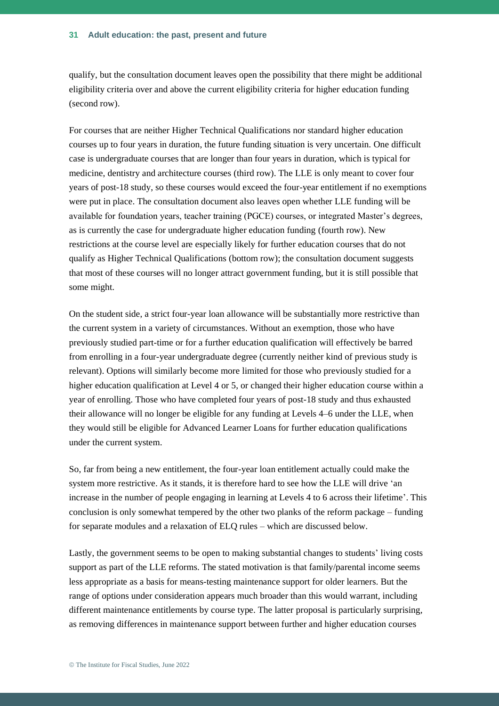qualify, but the consultation document leaves open the possibility that there might be additional eligibility criteria over and above the current eligibility criteria for higher education funding (second row).

For courses that are neither Higher Technical Qualifications nor standard higher education courses up to four years in duration, the future funding situation is very uncertain. One difficult case is undergraduate courses that are longer than four years in duration, which is typical for medicine, dentistry and architecture courses (third row). The LLE is only meant to cover four years of post-18 study, so these courses would exceed the four-year entitlement if no exemptions were put in place. The consultation document also leaves open whether LLE funding will be available for foundation years, teacher training (PGCE) courses, or integrated Master's degrees, as is currently the case for undergraduate higher education funding (fourth row). New restrictions at the course level are especially likely for further education courses that do not qualify as Higher Technical Qualifications (bottom row); the consultation document suggests that most of these courses will no longer attract government funding, but it is still possible that some might.

On the student side, a strict four-year loan allowance will be substantially more restrictive than the current system in a variety of circumstances. Without an exemption, those who have previously studied part-time or for a further education qualification will effectively be barred from enrolling in a four-year undergraduate degree (currently neither kind of previous study is relevant). Options will similarly become more limited for those who previously studied for a higher education qualification at Level 4 or 5, or changed their higher education course within a year of enrolling. Those who have completed four years of post-18 study and thus exhausted their allowance will no longer be eligible for any funding at Levels 4–6 under the LLE, when they would still be eligible for Advanced Learner Loans for further education qualifications under the current system.

So, far from being a new entitlement, the four-year loan entitlement actually could make the system more restrictive. As it stands, it is therefore hard to see how the LLE will drive 'an increase in the number of people engaging in learning at Levels 4 to 6 across their lifetime'. This conclusion is only somewhat tempered by the other two planks of the reform package – funding for separate modules and a relaxation of ELQ rules – which are discussed below.

Lastly, the government seems to be open to making substantial changes to students' living costs support as part of the LLE reforms. The stated motivation is that family/parental income seems less appropriate as a basis for means-testing maintenance support for older learners. But the range of options under consideration appears much broader than this would warrant, including different maintenance entitlements by course type. The latter proposal is particularly surprising, as removing differences in maintenance support between further and higher education courses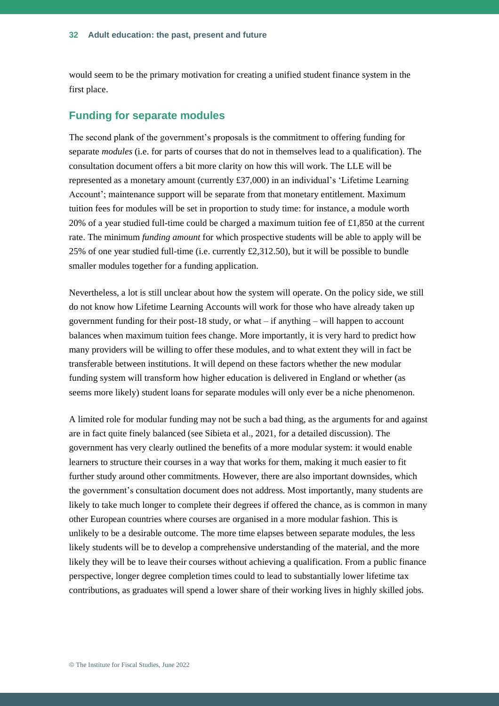would seem to be the primary motivation for creating a unified student finance system in the first place.

#### **Funding for separate modules**

The second plank of the government's proposals is the commitment to offering funding for separate *modules* (i.e. for parts of courses that do not in themselves lead to a qualification). The consultation document offers a bit more clarity on how this will work. The LLE will be represented as a monetary amount (currently £37,000) in an individual's 'Lifetime Learning Account'; maintenance support will be separate from that monetary entitlement. Maximum tuition fees for modules will be set in proportion to study time: for instance, a module worth 20% of a year studied full-time could be charged a maximum tuition fee of £1,850 at the current rate. The minimum *funding amount* for which prospective students will be able to apply will be 25% of one year studied full-time (i.e. currently £2,312.50), but it will be possible to bundle smaller modules together for a funding application.

Nevertheless, a lot is still unclear about how the system will operate. On the policy side, we still do not know how Lifetime Learning Accounts will work for those who have already taken up government funding for their post-18 study, or what  $-$  if anything  $-$  will happen to account balances when maximum tuition fees change. More importantly, it is very hard to predict how many providers will be willing to offer these modules, and to what extent they will in fact be transferable between institutions. It will depend on these factors whether the new modular funding system will transform how higher education is delivered in England or whether (as seems more likely) student loans for separate modules will only ever be a niche phenomenon.

A limited role for modular funding may not be such a bad thing, as the arguments for and against are in fact quite finely balanced (see Sibieta et al., 2021, for a detailed discussion). The government has very clearly outlined the benefits of a more modular system: it would enable learners to structure their courses in a way that works for them, making it much easier to fit further study around other commitments. However, there are also important downsides, which the government's consultation document does not address. Most importantly, many students are likely to take much longer to complete their degrees if offered the chance, as is common in many other European countries where courses are organised in a more modular fashion. This is unlikely to be a desirable outcome. The more time elapses between separate modules, the less likely students will be to develop a comprehensive understanding of the material, and the more likely they will be to leave their courses without achieving a qualification. From a public finance perspective, longer degree completion times could to lead to substantially lower lifetime tax contributions, as graduates will spend a lower share of their working lives in highly skilled jobs.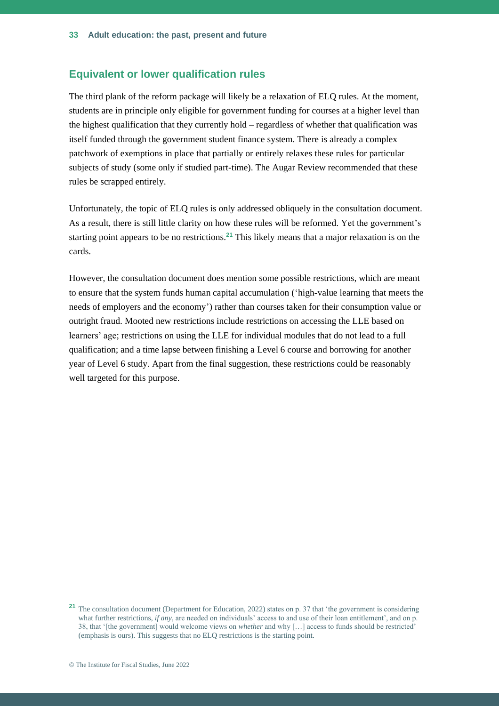#### **Equivalent or lower qualification rules**

The third plank of the reform package will likely be a relaxation of ELQ rules. At the moment, students are in principle only eligible for government funding for courses at a higher level than the highest qualification that they currently hold – regardless of whether that qualification was itself funded through the government student finance system. There is already a complex patchwork of exemptions in place that partially or entirely relaxes these rules for particular subjects of study (some only if studied part-time). The Augar Review recommended that these rules be scrapped entirely.

Unfortunately, the topic of ELQ rules is only addressed obliquely in the consultation document. As a result, there is still little clarity on how these rules will be reformed. Yet the government's starting point appears to be no restrictions. **<sup>21</sup>** This likely means that a major relaxation is on the cards.

However, the consultation document does mention some possible restrictions, which are meant to ensure that the system funds human capital accumulation ('high-value learning that meets the needs of employers and the economy') rather than courses taken for their consumption value or outright fraud. Mooted new restrictions include restrictions on accessing the LLE based on learners' age; restrictions on using the LLE for individual modules that do not lead to a full qualification; and a time lapse between finishing a Level 6 course and borrowing for another year of Level 6 study. Apart from the final suggestion, these restrictions could be reasonably well targeted for this purpose.

**<sup>21</sup>** The consultation document (Department for Education, 2022) states on p. 37 that 'the government is considering what further restrictions, *if any*, are needed on individuals' access to and use of their loan entitlement', and on p. 38, that '[the government] would welcome views on *whether* and why […] access to funds should be restricted' (emphasis is ours). This suggests that no ELQ restrictions is the starting point.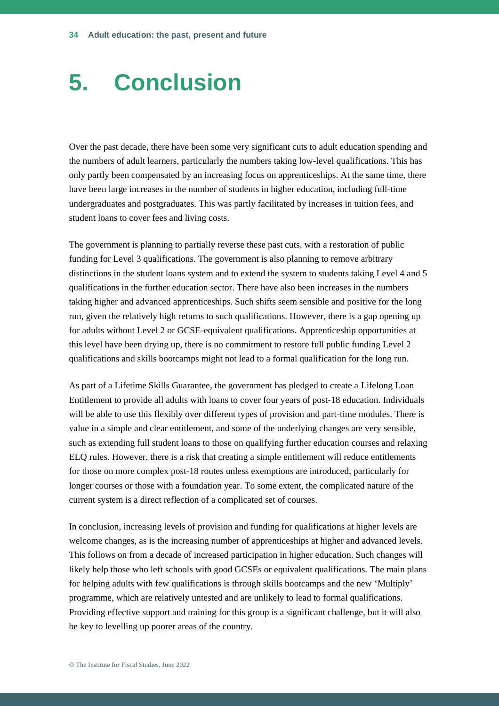## **5. Conclusion**

Over the past decade, there have been some very significant cuts to adult education spending and the numbers of adult learners, particularly the numbers taking low-level qualifications. This has only partly been compensated by an increasing focus on apprenticeships. At the same time, there have been large increases in the number of students in higher education, including full-time undergraduates and postgraduates. This was partly facilitated by increases in tuition fees, and student loans to cover fees and living costs.

The government is planning to partially reverse these past cuts, with a restoration of public funding for Level 3 qualifications. The government is also planning to remove arbitrary distinctions in the student loans system and to extend the system to students taking Level 4 and 5 qualifications in the further education sector. There have also been increases in the numbers taking higher and advanced apprenticeships. Such shifts seem sensible and positive for the long run, given the relatively high returns to such qualifications. However, there is a gap opening up for adults without Level 2 or GCSE-equivalent qualifications. Apprenticeship opportunities at this level have been drying up, there is no commitment to restore full public funding Level 2 qualifications and skills bootcamps might not lead to a formal qualification for the long run.

As part of a Lifetime Skills Guarantee, the government has pledged to create a Lifelong Loan Entitlement to provide all adults with loans to cover four years of post-18 education. Individuals will be able to use this flexibly over different types of provision and part-time modules. There is value in a simple and clear entitlement, and some of the underlying changes are very sensible, such as extending full student loans to those on qualifying further education courses and relaxing ELQ rules. However, there is a risk that creating a simple entitlement will reduce entitlements for those on more complex post-18 routes unless exemptions are introduced, particularly for longer courses or those with a foundation year. To some extent, the complicated nature of the current system is a direct reflection of a complicated set of courses.

In conclusion, increasing levels of provision and funding for qualifications at higher levels are welcome changes, as is the increasing number of apprenticeships at higher and advanced levels. This follows on from a decade of increased participation in higher education. Such changes will likely help those who left schools with good GCSEs or equivalent qualifications. The main plans for helping adults with few qualifications is through skills bootcamps and the new 'Multiply' programme, which are relatively untested and are unlikely to lead to formal qualifications. Providing effective support and training for this group is a significant challenge, but it will also be key to levelling up poorer areas of the country.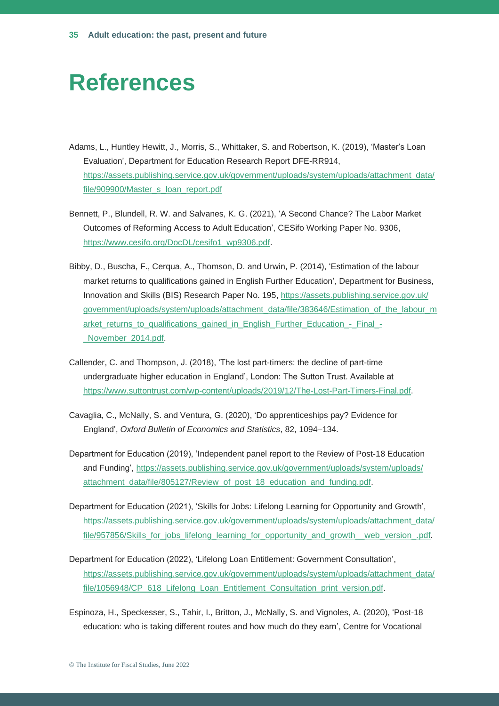## **References**

- Adams, L., Huntley Hewitt, J., Morris, S., Whittaker, S. and Robertson, K. (2019), 'Master's Loan Evaluation', Department for Education Research Report DFE-RR914, https://assets.publishing.service.gov.uk/government/uploads/system/uploads/attachment\_data/ [file/909900/Master\\_s\\_loan\\_report.pdf](https://assets.publishing.service.gov.uk/government/uploads/system/uploads/attachment_data/file/909900/Master_s_loan_report.pdf)
- Bennett, P., Blundell, R. W. and Salvanes, K. G. (2021), 'A Second Chance? The Labor Market Outcomes of Reforming Access to Adult Education', CESifo Working Paper No. 9306, [https://www.cesifo.org/DocDL/cesifo1\\_wp9306.pdf.](https://www.cesifo.org/DocDL/cesifo1_wp9306.pdf)
- Bibby, D., Buscha, F., Cerqua, A., Thomson, D. and Urwin, P. (2014), 'Estimation of the labour market returns to qualifications gained in English Further Education', Department for Business, Innovation and Skills (BIS) Research Paper No. 195, [https://assets.publishing.service.gov.uk/](https://assets.publishing.service.gov.uk/government/uploads/system/uploads/attachment_data/file/383646/Estimation_of_the_labour_market_returns_to_qualifications_gained_in_English_Further_Education_-_Final_-_November_2014.pdf)  [government/uploads/system/uploads/attachment\\_data/file/383646/Estimation\\_of\\_the\\_labour\\_m](https://assets.publishing.service.gov.uk/government/uploads/system/uploads/attachment_data/file/383646/Estimation_of_the_labour_market_returns_to_qualifications_gained_in_English_Further_Education_-_Final_-_November_2014.pdf) arket returns to qualifications gained in English Further Education - Final -November 2014.pdf.
- Callender, C. and Thompson, J. (2018), 'The lost part-timers: the decline of part-time undergraduate higher education in England', London: The Sutton Trust. Available at [https://www.suttontrust.com/wp-content/uploads/2019/12/The-Lost-Part-Timers-Final.pdf.](https://www.suttontrust.com/wp-content/uploads/2019/12/The-Lost-Part-Timers-Final.pdf)
- Cavaglia, C., McNally, S. and Ventura, G. (2020), 'Do apprenticeships pay? Evidence for England', *Oxford Bulletin of Economics and Statistics*, 82, 1094–134.
- Department for Education (2019), 'Independent panel report to the Review of Post-18 Education and Funding', [https://assets.publishing.service.gov.uk/government/uploads/system/uploads/](https://assets.publishing.service.gov.uk/government/uploads/system/uploads/attachment_data/file/805127/Review_of_post_18_education_and_funding.pdf)  [attachment\\_data/file/805127/Review\\_of\\_post\\_18\\_education\\_and\\_funding.pdf.](https://assets.publishing.service.gov.uk/government/uploads/system/uploads/attachment_data/file/805127/Review_of_post_18_education_and_funding.pdf)
- Department for Education (2021), 'Skills for Jobs: Lifelong Learning for Opportunity and Growth', https://assets.publishing.service.gov.uk/government/uploads/system/uploads/attachment\_data/ file/957856/Skills for jobs\_lifelong\_learning\_for\_opportunity\_and\_growth\_\_web\_version\_.pdf.
- Department for Education (2022), 'Lifelong Loan Entitlement: Government Consultation', https://assets.publishing.service.gov.uk/government/uploads/system/uploads/attachment\_data/ [file/1056948/CP\\_618\\_Lifelong\\_Loan\\_Entitlement\\_Consultation\\_print\\_version.pdf.](https://assets.publishing.service.gov.uk/government/uploads/system/uploads/attachment_data/file/1056948/CP_618_Lifelong_Loan_Entitlement_Consultation_print_version.pdf)
- Espinoza, H., Speckesser, S., Tahir, I., Britton, J., McNally, S. and Vignoles, A. (2020), 'Post-18 education: who is taking different routes and how much do they earn', Centre for Vocational